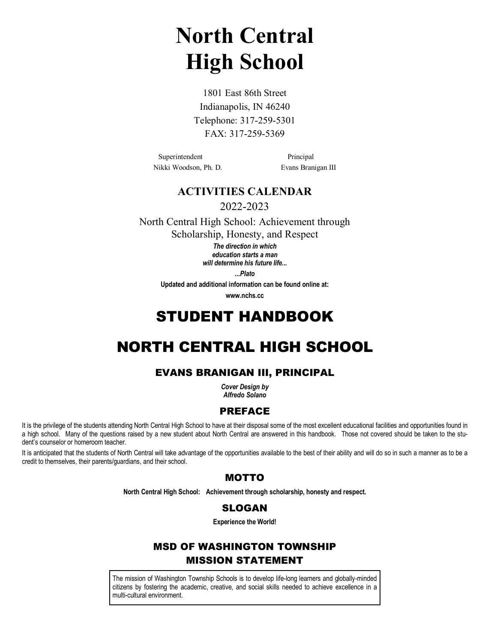# **North Central High School**

1801 East 86th Street Indianapolis, IN 46240 Telephone: 317-259-5301 FAX: 317-259-5369

Superintendent Principal Nikki Woodson, Ph. D. Evans Branigan III

# **ACTIVITIES CALENDAR**

2022-2023

North Central High School: Achievement through Scholarship, Honesty, and Respect

> *The direction in which education starts a man will determine his future life...*

> > *...Plato*

**Updated and additional information can be found online at:**

**www.nchs.cc**

# STUDENT HANDBOOK

# NORTH CENTRAL HIGH SCHOOL

# EVANS BRANIGAN III, PRINCIPAL

*Cover Design by Alfredo Solano*

# PREFACE

It is the privilege of the students attending North Central High School to have at their disposal some of the most excellent educational facilities and opportunities found in a high school. Many of the questions raised by a new student about North Central are answered in this handbook. Those not covered should be taken to the student's counselor or homeroom teacher.

It is anticipated that the students of North Central will take advantage of the opportunities available to the best of their ability and will do so in such a manner as to be a credit to themselves, their parents/guardians, and their school.

# MOTTO

**North Central High School: Achievement through scholarship, honesty and respect.**

# SLOGAN

**Experience the World!**

# MSD OF WASHINGTON TOWNSHIP MISSION STATEMENT

The mission of Washington Township Schools is to develop life-long learners and globally-minded citizens by fostering the academic, creative, and social skills needed to achieve excellence in a multi-cultural environment.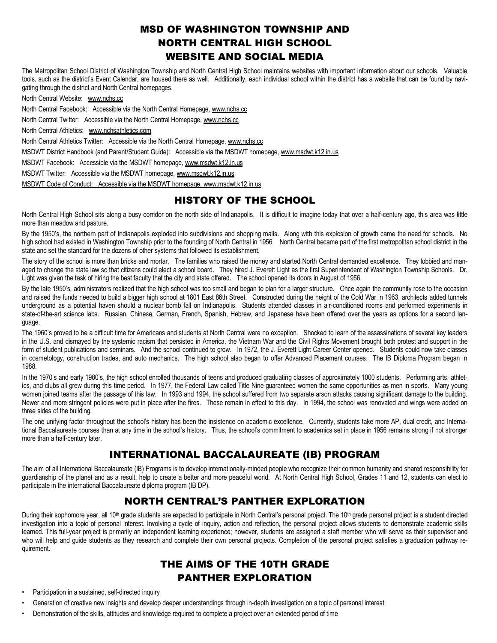# MSD OF WASHINGTON TOWNSHIP AND NORTH CENTRAL HIGH SCHOOL WEBSITE AND SOCIAL MEDIA

The Metropolitan School District of Washington Township and North Central High School maintains websites with important information about our schools. Valuable tools, such as the district's Event Calendar, are housed there as well. Additionally, each individual school within the district has a website that can be found by navigating through the district and North Central homepages.

North Central Website: www.nchs.cc

North Central Facebook: Accessible via the North Central Homepage, www.nchs.cc

North Central Twitter: Accessible via the North Central Homepage, www.nchs.cc

North Central Athletics: www.nchsathletics.com

North Central Athletics Twitter: Accessible via the North Central Homepage, www.nchs.cc

MSDWT District Handbook (and Parent/Student Guide): Accessible via the MSDWT homepage, www.msdwt.k12.in.us

MSDWT Facebook: Accessible via the MSDWT homepage, www.msdwt.k12.in.us

MSDWT Twitter: Accessible via the MSDWT homepage, www.msdwt.k12.in.us

MSDWT Code of Conduct: Accessible via the MSDWT homepage, www.msdwt.k12.in.us

# HISTORY OF THE SCHOOL

North Central High School sits along a busy corridor on the north side of Indianapolis. It is difficult to imagine today that over a half-century ago, this area was little more than meadow and pasture.

By the 1950's, the northern part of Indianapolis exploded into subdivisions and shopping malls. Along with this explosion of growth came the need for schools. No high school had existed in Washington Township prior to the founding of North Central in 1956. North Central became part of the first metropolitan school district in the state and set the standard for the dozens of other systems that followed its establishment.

The story of the school is more than bricks and mortar. The families who raised the money and started North Central demanded excellence. They lobbied and managed to change the state law so that citizens could elect a school board. They hired J. Everett Light as the first Superintendent of Washington Township Schools. Dr. Light was given the task of hiring the best faculty that the city and state offered. The school opened its doors in August of 1956.

By the late 1950's, administrators realized that the high school was too small and began to plan for a larger structure. Once again the community rose to the occasion and raised the funds needed to build a bigger high school at 1801 East 86th Street. Constructed during the height of the Cold War in 1963, architects added tunnels underground as a potential haven should a nuclear bomb fall on Indianapolis. Students attended classes in air-conditioned rooms and performed experiments in state-of-the-art science labs. Russian, Chinese, German, French, Spanish, Hebrew, and Japanese have been offered over the years as options for a second language.

The 1960's proved to be a difficult time for Americans and students at North Central were no exception. Shocked to learn of the assassinations of several key leaders in the U.S. and dismayed by the systemic racism that persisted in America, the Vietnam War and the Civil Rights Movement brought both protest and support in the form of student publications and seminars. And the school continued to grow. In 1972, the J. Everett Light Career Center opened. Students could now take classes in cosmetology, construction trades, and auto mechanics. The high school also began to offer Advanced Placement courses. The IB Diploma Program began in 1988.

In the 1970's and early 1980's, the high school enrolled thousands of teens and produced graduating classes of approximately 1000 students. Performing arts, athletics, and clubs all grew during this time period. In 1977, the Federal Law called Title Nine guaranteed women the same opportunities as men in sports. Many young women joined teams after the passage of this law. In 1993 and 1994, the school suffered from two separate arson attacks causing significant damage to the building. Newer and more stringent policies were put in place after the fires. These remain in effect to this day. In 1994, the school was renovated and wings were added on three sides of the building.

The one unifying factor throughout the school's history has been the insistence on academic excellence. Currently, students take more AP, dual credit, and International Baccalaureate courses than at any time in the school's history. Thus, the school's commitment to academics set in place in 1956 remains strong if not stronger more than a half-century later.

# INTERNATIONAL BACCALAUREATE (IB) PROGRAM

The aim of all International Baccalaureate (IB) Programs is to develop internationally-minded people who recognize their common humanity and shared responsibility for guardianship of the planet and as a result, help to create a better and more peaceful world. At North Central High School, Grades 11 and 12, students can elect to participate in the international Baccalaureate diploma program (IB DP).

# NORTH CENTRAL'S PANTHER EXPLORATION

During their sophomore year, all 10<sup>th</sup> grade students are expected to participate in North Central's personal project. The 10<sup>th</sup> grade personal project is a student directed investigation into a topic of personal interest. Involving a cycle of inquiry, action and reflection, the personal project allows students to demonstrate academic skills learned. This full-year project is primarily an independent learning experience; however, students are assigned a staff member who will serve as their supervisor and who will help and guide students as they research and complete their own personal projects. Completion of the personal project satisfies a graduation pathway requirement.

# THE AIMS OF THE 10TH GRADE PANTHER EXPLORATION

- Participation in a sustained, self-directed inquiry
- Generation of creative new insights and develop deeper understandings through in-depth investigation on a topic of personal interest
- Demonstration of the skills, attitudes and knowledge required to complete a project over an extended period of time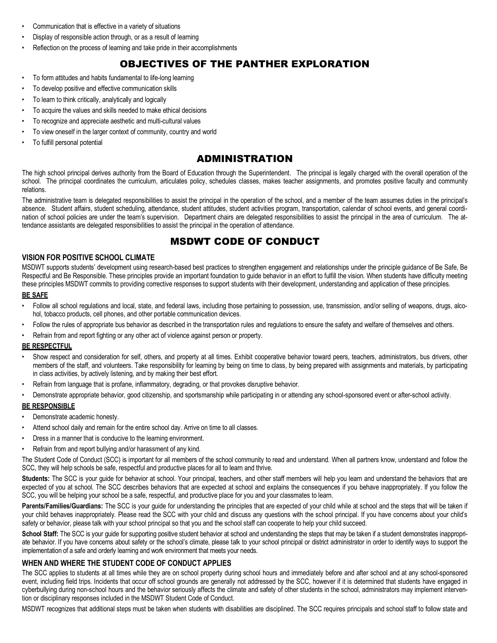- Communication that is effective in a variety of situations
- Display of responsible action through, or as a result of learning
- Reflection on the process of learning and take pride in their accomplishments

# OBJECTIVES OF THE PANTHER EXPLORATION

- To form attitudes and habits fundamental to life-long learning
- To develop positive and effective communication skills
- To learn to think critically, analytically and logically
- To acquire the values and skills needed to make ethical decisions
- To recognize and appreciate aesthetic and multi-cultural values
- To view oneself in the larger context of community, country and world
- To fulfill personal potential

# ADMINISTRATION

The high school principal derives authority from the Board of Education through the Superintendent. The principal is legally charged with the overall operation of the school. The principal coordinates the curriculum, articulates policy, schedules classes, makes teacher assignments, and promotes positive faculty and community relations.

The administrative team is delegated responsibilities to assist the principal in the operation of the school, and a member of the team assumes duties in the principal's absence. Student affairs, student scheduling, attendance, student attitudes, student activities program, transportation, calendar of school events, and general coordination of school policies are under the team's supervision. Department chairs are delegated responsibilities to assist the principal in the area of curriculum. The attendance assistants are delegated responsibilities to assist the principal in the operation of attendance.

# MSDWT CODE OF CONDUCT

#### **VISION FOR POSITIVE SCHOOL CLIMATE**

MSDWT supports students' development using research-based best practices to strengthen engagement and relationships under the principle guidance of Be Safe, Be Respectful and Be Responsible. These principles provide an important foundation to guide behavior in an effort to fulfill the vision. When students have difficulty meeting these principles MSDWT commits to providing corrective responses to support students with their development, understanding and application of these principles.

## **BE SAFE**

- Follow all school regulations and local, state, and federal laws, including those pertaining to possession, use, transmission, and/or selling of weapons, drugs, alcohol, tobacco products, cell phones, and other portable communication devices.
- Follow the rules of appropriate bus behavior as described in the transportation rules and regulations to ensure the safety and welfare of themselves and others.
- Refrain from and report fighting or any other act of violence against person or property.

#### **BE RESPECTFUL**

- Show respect and consideration for self, others, and property at all times. Exhibit cooperative behavior toward peers, teachers, administrators, bus drivers, other members of the staff, and volunteers. Take responsibility for learning by being on time to class, by being prepared with assignments and materials, by participating in class activities, by actively listening, and by making their best effort.
- Refrain from language that is profane, inflammatory, degrading, or that provokes disruptive behavior.
- Demonstrate appropriate behavior, good citizenship, and sportsmanship while participating in or attending any school-sponsored event or after-school activity.

#### **BE RESPONSIBLE**

- Demonstrate academic honesty.
- Attend school daily and remain for the entire school day. Arrive on time to all classes.
- Dress in a manner that is conducive to the learning environment.
- Refrain from and report bullying and/or harassment of any kind.

The Student Code of Conduct (SCC) is important for all members of the school community to read and understand. When all partners know, understand and follow the SCC, they will help schools be safe, respectful and productive places for all to learn and thrive.

Students: The SCC is your guide for behavior at school. Your principal, teachers, and other staff members will help you learn and understand the behaviors that are expected of you at school. The SCC describes behaviors that are expected at school and explains the consequences if you behave inappropriately. If you follow the SCC, you will be helping your school be a safe, respectful, and productive place for you and your classmates to learn.

Parents/Families/Guardians: The SCC is your quide for understanding the principles that are expected of your child while at school and the steps that will be taken if your child behaves inappropriately. Please read the SCC with your child and discuss any questions with the school principal. If you have concerns about your child's safety or behavior, please talk with your school principal so that you and the school staff can cooperate to help your child succeed.

School Staff: The SCC is your quide for supporting positive student behavior at school and understanding the steps that may be taken if a student demonstrates inappropriate behavior. If you have concerns about safety or the school's climate, please talk to your school principal or district administrator in order to identify ways to support the implementation of a safe and orderly learning and work environment that meets your needs.

#### **WHEN AND WHERE THE STUDENT CODE OF CONDUCT APPLIES**

The SCC applies to students at all times while they are on school property during school hours and immediately before and after school and at any school-sponsored event, including field trips. Incidents that occur off school grounds are generally not addressed by the SCC, however if it is determined that students have engaged in cyberbullying during non-school hours and the behavior seriously affects the climate and safety of other students in the school, administrators may implement intervention or disciplinary responses included in the MSDWT Student Code of Conduct.

MSDWT recognizes that additional steps must be taken when students with disabilities are disciplined. The SCC requires principals and school staff to follow state and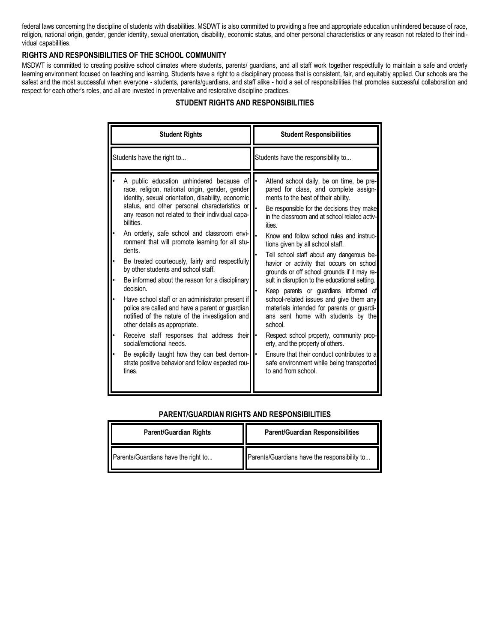federal laws concerning the discipline of students with disabilities. MSDWT is also committed to providing a free and appropriate education unhindered because of race, religion, national origin, gender, gender identity, sexual orientation, disability, economic status, and other personal characteristics or any reason not related to their individual capabilities.

## **RIGHTS AND RESPONSIBILITIES OF THE SCHOOL COMMUNITY**

MSDWT is committed to creating positive school climates where students, parents/ guardians, and all staff work together respectfully to maintain a safe and orderly learning environment focused on teaching and learning. Students have a right to a disciplinary process that is consistent, fair, and equitably applied. Our schools are the safest and the most successful when everyone - students, parents/guardians, and staff alike - hold a set of responsibilities that promotes successful collaboration and respect for each other's roles, and all are invested in preventative and restorative discipline practices.

| <b>Student Rights</b>                                                                                                                                                                                                                                                                                                                                                                                                                                                                                                                                                                                                                                                                                                                                                                                                                                                                                                                                                            | <b>Student Responsibilities</b>                                                                                                                                                                                                                                                                                                                                                                                                                                                                                                                                                                                                                                                                                                                                                                                                                                                                  |
|----------------------------------------------------------------------------------------------------------------------------------------------------------------------------------------------------------------------------------------------------------------------------------------------------------------------------------------------------------------------------------------------------------------------------------------------------------------------------------------------------------------------------------------------------------------------------------------------------------------------------------------------------------------------------------------------------------------------------------------------------------------------------------------------------------------------------------------------------------------------------------------------------------------------------------------------------------------------------------|--------------------------------------------------------------------------------------------------------------------------------------------------------------------------------------------------------------------------------------------------------------------------------------------------------------------------------------------------------------------------------------------------------------------------------------------------------------------------------------------------------------------------------------------------------------------------------------------------------------------------------------------------------------------------------------------------------------------------------------------------------------------------------------------------------------------------------------------------------------------------------------------------|
| Students have the right to                                                                                                                                                                                                                                                                                                                                                                                                                                                                                                                                                                                                                                                                                                                                                                                                                                                                                                                                                       | Students have the responsibility to                                                                                                                                                                                                                                                                                                                                                                                                                                                                                                                                                                                                                                                                                                                                                                                                                                                              |
| A public education unhindered because of<br>race, religion, national origin, gender, gender<br>identity, sexual orientation, disability, economic<br>status, and other personal characteristics or<br>any reason not related to their individual capa-<br>bilities.<br>An orderly, safe school and classroom envi-<br>ronment that will promote learning for all stu-<br>dents.<br>Be treated courteously, fairly and respectfully<br>٠<br>by other students and school staff.<br>Be informed about the reason for a disciplinary<br>$\bullet$<br>decision.<br>Have school staff or an administrator present if<br>٠<br>police are called and have a parent or guardian<br>notified of the nature of the investigation and<br>other details as appropriate.<br>Receive staff responses that address their .<br>$\bullet$<br>social/emotional needs.<br>Be explicitly taught how they can best demon-<br>$\bullet$<br>strate positive behavior and follow expected rou-<br>tines. | Attend school daily, be on time, be pre-<br>pared for class, and complete assign-<br>ments to the best of their ability.<br>Be responsible for the decisions they make<br>in the classroom and at school related activ-<br>ities.<br>Know and follow school rules and instruc-<br>tions given by all school staff.<br>Tell school staff about any dangerous be-<br>havior or activity that occurs on school<br>grounds or off school grounds if it may re-<br>sult in disruption to the educational setting.<br>Keep parents or guardians informed of<br>school-related issues and give them any<br>materials intended for parents or guardi-<br>ans sent home with students by the<br>school.<br>Respect school property, community prop-<br>erty, and the property of others.<br>Ensure that their conduct contributes to a<br>safe environment while being transported<br>to and from school. |

## **STUDENT RIGHTS AND RESPONSIBILITIES**

# **Parent/Guardian Rights Parent/Guardian Responsibilities** Parents/Guardians have the right to... **Parents/Guardians have the responsibility to...**

#### **PARENT/GUARDIAN RIGHTS AND RESPONSIBILITIES**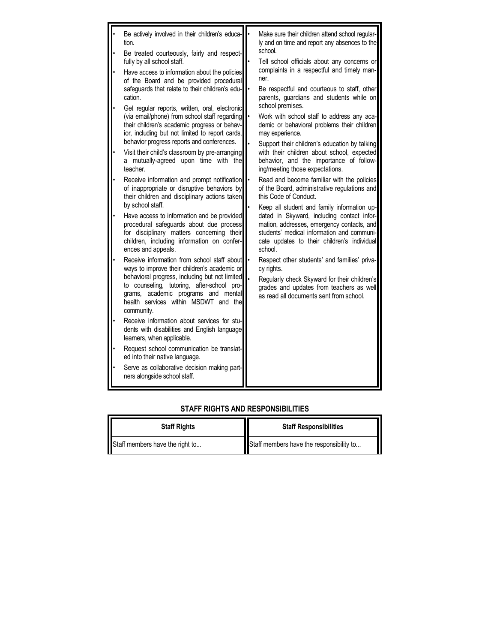|           | Be actively involved in their children's educa-<br>tion.<br>Be treated courteously, fairly and respect-                                                                                                | Make sure their children attend school regular-<br>ly and on time and report any absences to the<br>school.                                                                                                                                     |
|-----------|--------------------------------------------------------------------------------------------------------------------------------------------------------------------------------------------------------|-------------------------------------------------------------------------------------------------------------------------------------------------------------------------------------------------------------------------------------------------|
|           | fully by all school staff.<br>Have access to information about the policies<br>of the Board and be provided procedural<br>safeguards that relate to their children's edu-<br>cation.                   | Tell school officials about any concerns or<br>complaints in a respectful and timely man-<br>ner.<br>Be respectful and courteous to staff, other<br>parents, guardians and students while on                                                    |
|           | Get regular reports, written, oral, electronic<br>(via email/phone) from school staff regarding<br>their children's academic progress or behav-<br>ior, including but not limited to report cards,     | school premises.<br>Work with school staff to address any aca-<br>demic or behavioral problems their children<br>may experience.                                                                                                                |
|           | behavior progress reports and conferences.<br>Visit their child's classroom by pre-arranging<br>a mutually-agreed upon time with the<br>teacher.                                                       | Support their children's education by talking<br>with their children about school, expected<br>behavior, and the importance of follow-<br>ing/meeting those expectations.                                                                       |
|           | Receive information and prompt notification<br>of inappropriate or disruptive behaviors by<br>their children and disciplinary actions taken<br>by school staff.                                        | Read and become familiar with the policies<br>of the Board, administrative regulations and<br>this Code of Conduct.                                                                                                                             |
| $\bullet$ | Have access to information and be provided<br>procedural safeguards about due process<br>for disciplinary matters concerning their<br>children, including information on confer-<br>ences and appeals. | Keep all student and family information up-<br>dated in Skyward, including contact infor-<br>mation, addresses, emergency contacts, and<br>students' medical information and communi-<br>cate updates to their children's individual<br>school. |
|           | Receive information from school staff about<br>ways to improve their children's academic or                                                                                                            | Respect other students' and families' priva-<br>cy rights.                                                                                                                                                                                      |
|           | behavioral progress, including but not limited<br>to counseling, tutoring, after-school pro-<br>grams, academic programs and mental<br>health services within MSDWT and the<br>community.              | Regularly check Skyward for their children's<br>grades and updates from teachers as well<br>as read all documents sent from school.                                                                                                             |
|           | Receive information about services for stu-<br>dents with disabilities and English language<br>learners, when applicable.                                                                              |                                                                                                                                                                                                                                                 |
|           | Request school communication be translat-<br>ed into their native language.                                                                                                                            |                                                                                                                                                                                                                                                 |
|           | Serve as collaborative decision making part-<br>ners alongside school staff.                                                                                                                           |                                                                                                                                                                                                                                                 |

# **STAFF RIGHTS AND RESPONSIBILITIES**

| <b>Staff Rights</b>             | <b>Staff Responsibilities</b>            |  |
|---------------------------------|------------------------------------------|--|
| Staff members have the right to | Staff members have the responsibility to |  |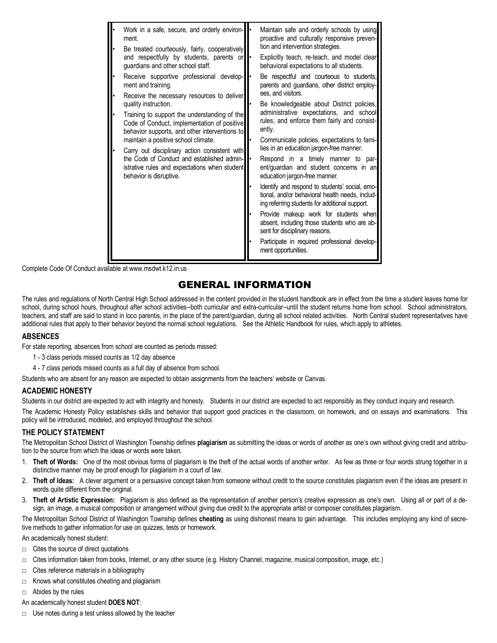| Work in a safe, secure, and orderly environ-<br>ment.<br>Be treated courteously, fairly, cooperatively<br>and respectfully by students, parents or<br>guardians and other school staff.<br>Receive supportive professional develop-<br>ment and training.<br>Receive the necessary resources to deliver<br>quality instruction.<br>Training to support the understanding of the<br>Code of Conduct, implementation of positive<br>behavior supports, and other interventions to<br>maintain a positive school climate.<br>Carry out disciplinary action consistent with<br>the Code of Conduct and established admin-<br>istrative rules and expectations when student<br>behavior is disruptive. | Maintain safe and orderly schools by using<br>proactive and culturally responsive preven-<br>tion and intervention strategies.<br>Explicitly teach, re-teach, and model clear<br>behavioral expectations to all students.<br>Be respectful and courteous to students,<br>parents and guardians, other district employ-<br>ees, and visitors.<br>Be knowledgeable about District policies,<br>administrative expectations, and school<br>rules, and enforce them fairly and consist-<br>ently.<br>Communicate policies, expectations to fami-<br>lies in an education jargon-free manner.<br>Respond in a timely manner to par-<br>ent/guardian and student concerns in an<br>education jargon-free manner.<br>Identify and respond to students' social, emo-<br>tional, and/or behavioral health needs, includ-<br>ing referring students for additional support.<br>Provide makeup work for students when<br>absent, including those students who are ab-<br>sent for disciplinary reasons.<br>Participate in required professional develop-<br>ment opportunities. |
|---------------------------------------------------------------------------------------------------------------------------------------------------------------------------------------------------------------------------------------------------------------------------------------------------------------------------------------------------------------------------------------------------------------------------------------------------------------------------------------------------------------------------------------------------------------------------------------------------------------------------------------------------------------------------------------------------|----------------------------------------------------------------------------------------------------------------------------------------------------------------------------------------------------------------------------------------------------------------------------------------------------------------------------------------------------------------------------------------------------------------------------------------------------------------------------------------------------------------------------------------------------------------------------------------------------------------------------------------------------------------------------------------------------------------------------------------------------------------------------------------------------------------------------------------------------------------------------------------------------------------------------------------------------------------------------------------------------------------------------------------------------------------------|

Complete Code Of Conduct available at www.msdwt.k12.in.us

# GENERAL INFORMATION

The rules and regulations of North Central High School addressed in the content provided in the student handbook are in effect from the time a student leaves home for school, during school hours, throughout after school activities--both curricular and extra-curricular--until the student returns home from school. School administrators, teachers, and staff are said to stand in loco parentis, in the place of the parent/guardian, during all school related activities. North Central student representatives have additional rules that apply to their behavior beyond the normal school regulations. See the Athletic Handbook for rules, which apply to athletes.

#### **ABSENCES**

For state reporting, absences from school are counted as periods missed:

- 1 3 class periods missed counts as 1/2 day absence
- 4 7 class periods missed counts as a full day of absence from school.

Students who are absent for any reason are expected to obtain assignments from the teachers' website or Canvas.

#### **ACADEMIC HONESTY**

Students in our district are expected to act with integrity and honesty. Students in our district are expected to act responsibly as they conduct inquiry and research. The Academic Honesty Policy establishes skills and behavior that support good practices in the classroom, on homework, and on essays and examinations. This policy will be introduced, modeled, and employed throughout the school.

#### **THE POLICY STATEMENT**

The Metropolitan School District of Washington Township defines **plagiarism** as submitting the ideas or words of another as one's own without giving credit and attribution to the source from which the ideas or words were taken.

- 1. **Theft of Words:** One of the most obvious forms of plagiarism is the theft of the actual words of another writer. As few as three or four words strung together in a distinctive manner may be proof enough for plagiarism in a court of law.
- 2. **Theft of Ideas:** A clever argument or a persuasive concept taken from someone without credit to the source constitutes plagiarism even if the ideas are present in words quite different from the original.
- 3. **Theft of Artistic Expression:** Plagiarism is also defined as the representation of another person's creative expression as one's own. Using all or part of a design, an image, a musical composition or arrangement without giving due credit to the appropriate artist or composer constitutes plagiarism.

The Metropolitan School District of Washington Township defines **cheating** as using dishonest means to gain advantage. This includes employing any kind of secretive methods to gather information for use on quizzes, tests or homework.

An academically honest student:

- □ Cites the source of direct quotations
- $\Box$  Cites information taken from books, Internet, or any other source (e.g. History Channel, magazine, musical composition, image, etc.)
- $\Box$  Cites reference materials in a bibliography
- $\Box$  Knows what constitutes cheating and plagiarism
- $\Box$  Abides by the rules
- An academically honest student **DOES NOT**:
- $\Box$  Use notes during a test unless allowed by the teacher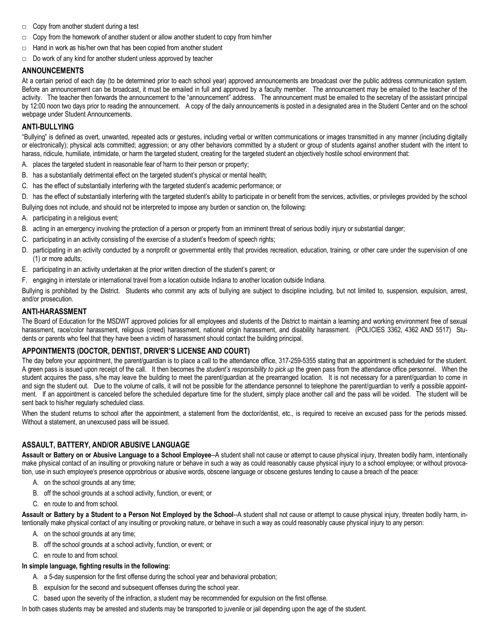- □ Copy from another student during a test
- $\Box$  Copy from the homework of another student or allow another student to copy from him/her
- □ Hand in work as his/her own that has been copied from another student
- □ Do work of any kind for another student unless approved by teacher

#### **ANNOUNCEMENTS**

At a certain period of each day (to be determined prior to each school year) approved announcements are broadcast over the public address communication system. Before an announcement can be broadcast, it must be emailed in full and approved by a faculty member. The announcement may be emailed to the teacher of the activity. The teacher then forwards the announcement to the "announcement" address. The announcement must be emailed to the secretary of the assistant principal by 12:00 noon two days prior to reading the announcement. A copy of the daily announcements is posted in a designated area in the Student Center and on the school webpage under Student Announcements.

### **ANTI-BULLYING**

"Bullying" is defined as overt, unwanted, repeated acts or gestures, including verbal or written communications or images transmitted in any manner (including digitally or electronically); physical acts committed; aggression; or any other behaviors committed by a student or group of students against another student with the intent to harass, ridicule, humiliate, intimidate, or harm the targeted student, creating for the targeted student an objectively hostile school environment that:

- A. places the targeted student in reasonable fear of harm to their person or property;
- B. has a substantially detrimental effect on the targeted student's physical or mental health;
- C. has the effect of substantially interfering with the targeted student's academic performance; or
- D. has the effect of substantially interfering with the targeted student's ability to participate in or benefit from the services, activities, or privileges provided by the school

Bullying does not include, and should not be interpreted to impose any burden or sanction on, the following:

- A. participating in a religious event;
- B. acting in an emergency involving the protection of a person or property from an imminent threat of serious bodily injury or substantial danger;
- C. participating in an activity consisting of the exercise of a student's freedom of speech rights;
- D. participating in an activity conducted by a nonprofit or governmental entity that provides recreation, education, training, or other care under the supervision of one (1) or more adults;
- E. participating in an activity undertaken at the prior written direction of the student's parent; or
- F. engaging in interstate or international travel from a location outside Indiana to another location outside Indiana.

Bullying is prohibited by the District. Students who commit any acts of bullying are subject to discipline including, but not limited to, suspension, expulsion, arrest, and/or prosecution.

#### **ANTI-HARASSMENT**

The Board of Education for the MSDWT approved policies for all employees and students of the District to maintain a learning and working environment free of sexual harassment, race/color harassment, religious (creed) harassment, national origin harassment, and disability harassment. (POLICIES 3362, 4362 AND 5517) Students or parents who feel that they have been a victim of harassment should contact the building principal.

#### **APPOINTMENTS (DOCTOR, DENTIST, DRIVER'S LICENSE AND COURT)**

The day before your appointment, the parent/guardian is to place a call to the attendance office, 317-259-5355 stating that an appointment is scheduled for the student. A green pass is issued upon receipt of the call. It then becomes the *student's responsibility to pick up* the green pass from the attendance office personnel. When the student acquires the pass, s/he may leave the building to meet the parent/quardian at the prearranged location. It is not necessary for a parent/quardian to come in and sign the student out. Due to the volume of calls, it will not be possible for the attendance personnel to telephone the parent/guardian to verify a possible appointment. If an appointment is canceled before the scheduled departure time for the student, simply place another call and the pass will be voided. The student will be sent back to his/her regularly scheduled class.

When the student returns to school after the appointment, a statement from the doctor/dentist, etc., is required to receive an excused pass for the periods missed. Without a statement, an unexcused pass will be issued.

## **ASSAULT, BATTERY, AND/OR ABUSIVE LANGUAGE**

**Assault or Battery on or Abusive Language to a School Employee**--A student shall not cause or attempt to cause physical injury, threaten bodily harm, intentionally make physical contact of an insulting or provoking nature or behave in such a way as could reasonably cause physical injury to a school employee; or without provocation, use in such employee's presence opprobrious or abusive words, obscene language or obscene gestures tending to cause a breach of the peace:

- A. on the school grounds at any time;
- B. off the school grounds at a school activity, function, or event; or
- C. en route to and from school.

**Assault or Battery by a Student to a Person Not Employed by the School**--A student shall not cause or attempt to cause physical injury, threaten bodily harm, intentionally make physical contact of any insulting or provoking nature, or behave in such a way as could reasonably cause physical injury to any person:

- A. on the school grounds at any time;
- B. off the school grounds at a school activity, function, or event; or
- C. en route to and from school.

#### **In simple language, fighting results in the following:**

- A. a 5-day suspension for the first offense during the school year and behavioral probation;
- B. expulsion for the second and subsequent offenses during the school year.
- C. based upon the severity of the infraction, a student may be recommended for expulsion on the first offense.

In both cases students may be arrested and students may be transported to juvenile or jail depending upon the age of the student.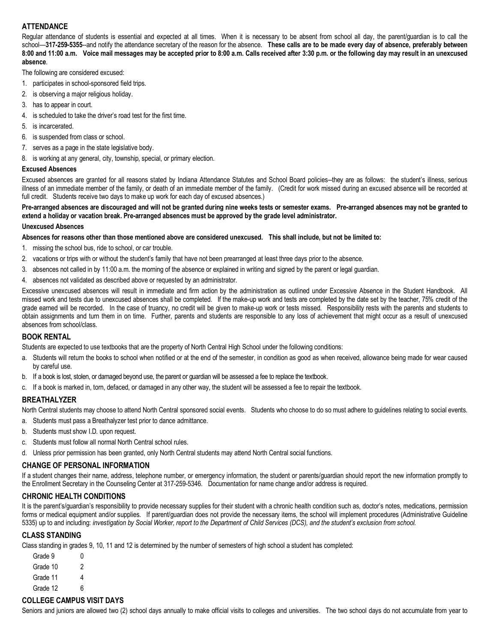## **ATTENDANCE**

Regular attendance of students is essential and expected at all times. When it is necessary to be absent from school all day, the parent/quardian is to call the school—**317-259-5355**--and notify the attendance secretary of the reason for the absence. **These calls are to be made every day of absence, preferably between 8:00 and 11:00 a.m. Voice mail messages may be accepted prior to 8:00 a.m. Calls received after 3:30 p.m. or the following day may result in an unexcused absence**.

The following are considered excused:

- 1. participates in school-sponsored field trips.
- 2. is observing a major religious holiday.
- 3. has to appear in court.
- 4. is scheduled to take the driver's road test for the first time.
- 5. is incarcerated.
- 6. is suspended from class or school.
- 7. serves as a page in the state legislative body.
- 8. is working at any general, city, township, special, or primary election.

## **Excused Absences**

Excused absences are granted for all reasons stated by Indiana Attendance Statutes and School Board policies--they are as follows: the student's illness, serious illness of an immediate member of the family, or death of an immediate member of the family. (Credit for work missed during an excused absence will be recorded at full credit. Students receive two days to make up work for each day of excused absences.)

#### **Pre-arranged absences are discouraged and will not be granted during nine weeks tests or semester exams. Pre-arranged absences may not be granted to extend a holiday or vacation break. Pre-arranged absences must be approved by the grade level administrator.**

#### **Unexcused Absences**

**Absences for reasons other than those mentioned above are considered unexcused. This shall include, but not be limited to:**

- 1. missing the school bus, ride to school, or car trouble.
- 2. vacations or trips with or without the student's family that have not been prearranged at least three days prior to the absence.
- 3. absences not called in by 11:00 a.m. the morning of the absence or explained in writing and signed by the parent or legal guardian.
- 4. absences not validated as described above or requested by an administrator.

Excessive unexcused absences will result in immediate and firm action by the administration as outlined under Excessive Absence in the Student Handbook. All missed work and tests due to unexcused absences shall be completed. If the make-up work and tests are completed by the date set by the teacher, 75% credit of the grade earned will be recorded. In the case of truancy, no credit will be given to make-up work or tests missed. Responsibility rests with the parents and students to obtain assignments and turn them in on time. Further, parents and students are responsible to any loss of achievement that might occur as a result of unexcused absences from school/class.

#### **BOOK RENTAL**

Students are expected to use textbooks that are the property of North Central High School under the following conditions:

- a. Students will return the books to school when notified or at the end of the semester, in condition as good as when received, allowance being made for wear caused by careful use.
- b. If a book is lost, stolen, or damaged beyond use, the parent or guardian will be assessed a fee to replace the textbook.
- c. If a book is marked in, torn, defaced, or damaged in any other way, the student will be assessed a fee to repair the textbook.

#### **BREATHALYZER**

North Central students may choose to attend North Central sponsored social events. Students who choose to do so must adhere to guidelines relating to social events.

- a. Students must pass a Breathalyzer test prior to dance admittance.
- b. Students must show I.D. upon request.
- c. Students must follow all normal North Central school rules.
- d. Unless prior permission has been granted, only North Central students may attend North Central social functions.

## **CHANGE OF PERSONAL INFORMATION**

If a student changes their name, address, telephone number, or emergency information, the student or parents/guardian should report the new information promptly to the Enrollment Secretary in the Counseling Center at 317-259-5346. Documentation for name change and/or address is required.

# **CHRONIC HEALTH CONDITIONS**

It is the parent's/guardian's responsibility to provide necessary supplies for their student with a chronic health condition such as, doctor's notes, medications, permission forms or medical equipment and/or supplies. If parent/quardian does not provide the necessary items, the school will implement procedures (Administrative Guideline 5335) up to and including: *investigation by Social Worker, report to the Department of Child Services (DCS), and the student's exclusion from school.*

## **CLASS STANDING**

Class standing in grades 9, 10, 11 and 12 is determined by the number of semesters of high school a student has completed:

| 0 |
|---|
| 2 |
| 4 |
| 6 |
|   |

## **COLLEGE CAMPUS VISIT DAYS**

Seniors and juniors are allowed two (2) school days annually to make official visits to colleges and universities. The two school days do not accumulate from year to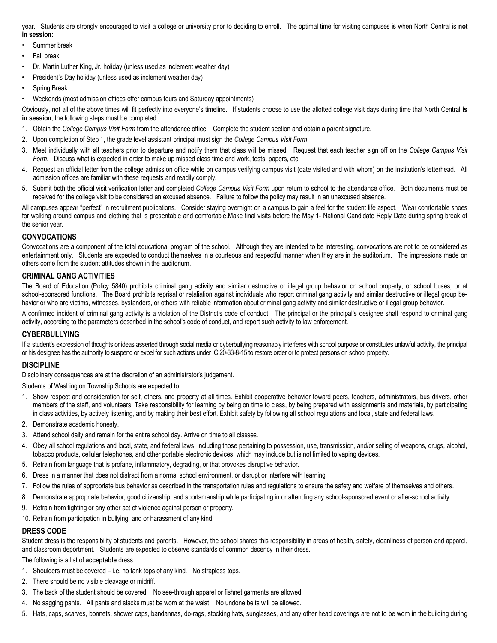year. Students are strongly encouraged to visit a college or university prior to deciding to enroll. The optimal time for visiting campuses is when North Central is **not in session:**

- Summer break
- Fall break
- Dr. Martin Luther King, Jr. holiday (unless used as inclement weather day)
- President's Day holiday (unless used as inclement weather day)
- Spring Break
- Weekends (most admission offices offer campus tours and Saturday appointments)

Obviously, not all of the above times will fit perfectly into everyone's timeline. If students choose to use the allotted college visit days during time that North Central **is in session**, the following steps must be completed:

- 1. Obtain the *College Campus Visit Form* from the attendance office. Complete the student section and obtain a parent signature.
- 2. Upon completion of Step 1, the grade level assistant principal must sign the *College Campus Visit Form*.
- 3. Meet individually with all teachers prior to departure and notify them that class will be missed. Request that each teacher sign off on the *College Campus Visit Form*. Discuss what is expected in order to make up missed class time and work, tests, papers, etc.
- 4. Request an official letter from the college admission office while on campus verifying campus visit (date visited and with whom) on the institution's letterhead. All admission offices are familiar with these requests and readily comply.
- 5. Submit both the official visit verification letter and completed *College Campus Visit Form* upon return to school to the attendance office. Both documents must be received for the college visit to be considered an excused absence. Failure to follow the policy may result in an unexcused absence.

All campuses appear "perfect" in recruitment publications. Consider staying overnight on a campus to gain a feel for the student life aspect. Wear comfortable shoes for walking around campus and clothing that is presentable and comfortable.Make final visits before the May 1- National Candidate Reply Date during spring break of the senior year.

## **CONVOCATIONS**

Convocations are a component of the total educational program of the school. Although they are intended to be interesting, convocations are not to be considered as entertainment only. Students are expected to conduct themselves in a courteous and respectful manner when they are in the auditorium. The impressions made on others come from the student attitudes shown in the auditorium.

## **CRIMINAL GANG ACTIVITIES**

The Board of Education (Policy 5840) prohibits criminal gang activity and similar destructive or illegal group behavior on school property, or school buses, or at school-sponsored functions. The Board prohibits reprisal or retaliation against individuals who report criminal gang activity and similar destructive or illegal group behavior or who are victims, witnesses, bystanders, or others with reliable information about criminal gang activity and similar destructive or illegal group behavior.

A confirmed incident of criminal gang activity is a violation of the District's code of conduct. The principal or the principal's designee shall respond to criminal gang activity, according to the parameters described in the school's code of conduct, and report such activity to law enforcement.

#### **CYBERBULLYING**

If a student's expression of thoughts or ideas asserted through social media or cyberbullying reasonably interferes with school purpose or constitutes unlawful activity, the principal or his designee has the authority to suspend or expel for such actions under IC 20-33-8-15 to restore order or to protect persons on school property.

#### **DISCIPLINE**

Disciplinary consequences are at the discretion of an administrator's judgement.

Students of Washington Township Schools are expected to:

- 1. Show respect and consideration for self, others, and property at all times. Exhibit cooperative behavior toward peers, teachers, administrators, bus drivers, other members of the staff, and volunteers. Take responsibility for learning by being on time to class, by being prepared with assignments and materials, by participating in class activities, by actively listening, and by making their best effort. Exhibit safety by following all school regulations and local, state and federal laws.
- 2. Demonstrate academic honesty.
- 3. Attend school daily and remain for the entire school day. Arrive on time to all classes.
- 4. Obey all school regulations and local, state, and federal laws, including those pertaining to possession, use, transmission, and/or selling of weapons, drugs, alcohol, tobacco products, cellular telephones, and other portable electronic devices, which may include but is not limited to vaping devices.
- 5. Refrain from language that is profane, inflammatory, degrading, or that provokes disruptive behavior.
- 6. Dress in a manner that does not distract from a normal school environment, or disrupt or interfere with learning.
- 7. Follow the rules of appropriate bus behavior as described in the transportation rules and regulations to ensure the safety and welfare of themselves and others.
- 8. Demonstrate appropriate behavior, good citizenship, and sportsmanship while participating in or attending any school-sponsored event or after-school activity.
- 9. Refrain from fighting or any other act of violence against person or property.
- 10. Refrain from participation in bullying, and or harassment of any kind.

#### **DRESS CODE**

Student dress is the responsibility of students and parents. However, the school shares this responsibility in areas of health, safety, cleanliness of person and apparel, and classroom deportment. Students are expected to observe standards of common decency in their dress.

#### The following is a list of **acceptable** dress:

- 1. Shoulders must be covered i.e. no tank tops of any kind. No strapless tops.
- 2. There should be no visible cleavage or midriff.
- 3. The back of the student should be covered. No see-through apparel or fishnet garments are allowed.
- 4. No sagging pants. All pants and slacks must be worn at the waist. No undone belts will be allowed.
- 5. Hats, caps, scarves, bonnets, shower caps, bandannas, do-rags, stocking hats, sunglasses, and any other head coverings are not to be worn in the building during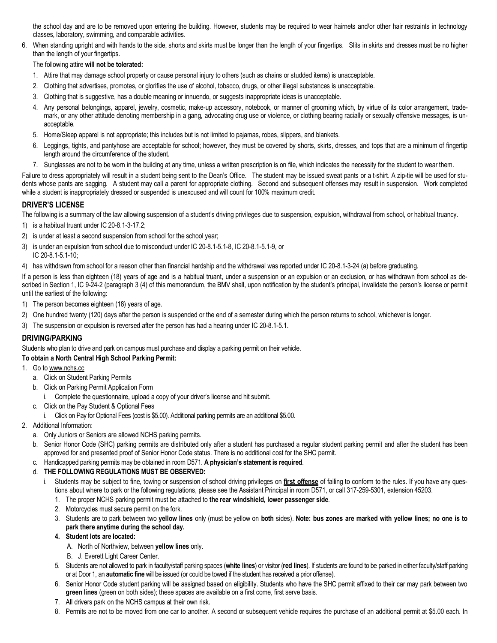the school day and are to be removed upon entering the building. However, students may be required to wear hairnets and/or other hair restraints in technology classes, laboratory, swimming, and comparable activities.

6. When standing upright and with hands to the side, shorts and skirts must be longer than the length of your fingertips. Slits in skirts and dresses must be no higher than the length of your fingertips.

#### The following attire **will not be tolerated:**

- 1. Attire that may damage school property or cause personal injury to others (such as chains or studded items) is unacceptable.
- 2. Clothing that advertises, promotes, or glorifies the use of alcohol, tobacco, drugs, or other illegal substances is unacceptable.
- 3. Clothing that is suggestive, has a double meaning or innuendo, or suggests inappropriate ideas is unacceptable.
- 4. Any personal belongings, apparel, jewelry, cosmetic, make-up accessory, notebook, or manner of grooming which, by virtue of its color arrangement, trademark, or any other attitude denoting membership in a gang, advocating drug use or violence, or clothing bearing racially or sexually offensive messages, is unacceptable.
- 5. Home/Sleep apparel is not appropriate; this includes but is not limited to pajamas, robes, slippers, and blankets.
- 6. Leggings, tights, and pantyhose are acceptable for school; however, they must be covered by shorts, skirts, dresses, and tops that are a minimum of fingertip length around the circumference of the student.
- 7. Sunglasses are not to be worn in the building at any time, unless a written prescription is on file, which indicates the necessity for the student to wear them.

Failure to dress appropriately will result in a student being sent to the Dean's Office. The student may be issued sweat pants or a t-shirt. A zip-tie will be used for students whose pants are sagging. A student may call a parent for appropriate clothing. Second and subsequent offenses may result in suspension. Work completed while a student is inappropriately dressed or suspended is unexcused and will count for 100% maximum credit.

## **DRIVER'S LICENSE**

The following is a summary of the law allowing suspension of a student's driving privileges due to suspension, expulsion, withdrawal from school, or habitual truancy.

- 1) is a habitual truant under IC 20-8.1-3-17.2;
- 2) is under at least a second suspension from school for the school year;
- 3) is under an expulsion from school due to misconduct under IC 20-8.1-5.1-8, IC 20-8.1-5.1-9, or IC 20-8.1-5.1-10;
- 4) has withdrawn from school for a reason other than financial hardship and the withdrawal was reported under IC 20-8.1-3-24 (a) before graduating.

If a person is less than eighteen (18) years of age and is a habitual truant, under a suspension or an expulsion or an exclusion, or has withdrawn from school as described in Section 1, IC 9-24-2 (paragraph 3 (4) of this memorandum, the BMV shall, upon notification by the student's principal, invalidate the person's license or permit until the earliest of the following:

- 1) The person becomes eighteen (18) years of age.
- 2) One hundred twenty (120) days after the person is suspended or the end of a semester during which the person returns to school, whichever is longer.
- 3) The suspension or expulsion is reversed after the person has had a hearing under IC 20-8.1-5.1.

#### **DRIVING/PARKING**

Students who plan to drive and park on campus must purchase and display a parking permit on their vehicle.

#### **To obtain a North Central High School Parking Permit:**

- 1. Go to www.nchs.cc
	- a. Click on Student Parking Permits
	- b. Click on Parking Permit Application Form
		- i. Complete the questionnaire, upload a copy of your driver's license and hit submit.
	- c. Click on the Pay Student & Optional Fees
	- i. Click on Pay for Optional Fees (cost is \$5.00). Additional parking permits are an additional \$5.00.
- 2. Additional Information:
	- a. Only Juniors or Seniors are allowed NCHS parking permits.
	- b. Senior Honor Code (SHC) parking permits are distributed only after a student has purchased a regular student parking permit and after the student has been approved for and presented proof of Senior Honor Code status. There is no additional cost for the SHC permit.
	- c. Handicapped parking permits may be obtained in room D571. **A physician's statement is required**.

#### d. **THE FOLLOWING REGULATIONS MUST BE OBSERVED:**

- i. Students may be subject to fine, towing or suspension of school driving privileges on **first offense** of failing to conform to the rules. If you have any questions about where to park or the following regulations, please see the Assistant Principal in room D571, or call 317-259-5301, extension 45203.
	- 1. The proper NCHS parking permit must be attached to **the rear windshield, lower passenger side**.
	- 2. Motorcycles must secure permit on the fork.
	- 3. Students are to park between two **yellow lines** only (must be yellow on **both** sides). **Note: bus zones are marked with yellow lines; no one is to park there anytime during the school day.**

#### **4. Student lots are located:**

- A. North of Northview, between **yellow lines** only.
- B. J. Everett Light Career Center.
- 5. Students are not allowed to park in faculty/staff parking spaces (**white lines**) or visitor (**red lines**). If students are found to be parked in either faculty/staff parking or at Door 1, an **automatic fine** will be issued (or could be towed if the student has received a prior offense).
- 6. Senior Honor Code student parking will be assigned based on eligibility. Students who have the SHC permit affixed to their car may park between two **green lines** (green on both sides); these spaces are available on a first come, first serve basis.
- 7. All drivers park on the NCHS campus at their own risk.
- 8. Permits are not to be moved from one car to another. A second or subsequent vehicle requires the purchase of an additional permit at \$5.00 each. In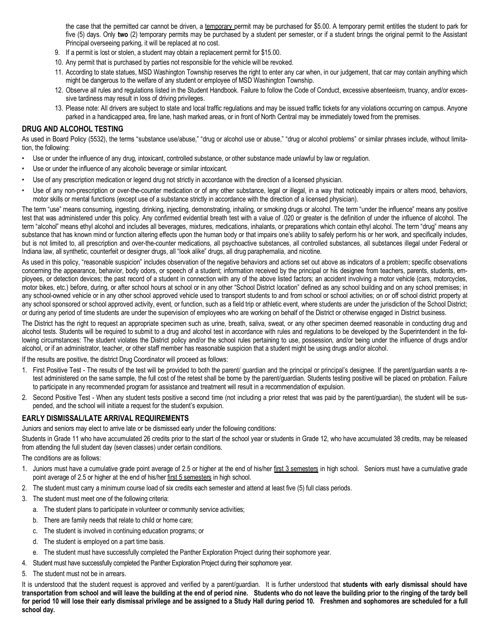the case that the permitted car cannot be driven, a temporary permit may be purchased for \$5.00. A temporary permit entitles the student to park for five (5) days. Only **two** (2) temporary permits may be purchased by a student per semester, or if a student brings the original permit to the Assistant Principal overseeing parking, it will be replaced at no cost.

- 9. If a permit is lost or stolen, a student may obtain a replacement permit for \$15.00.
- 10. Any permit that is purchased by parties not responsible for the vehicle will be revoked.
- 11. According to state statues, MSD Washington Township reserves the right to enter any car when, in our judgement, that car may contain anything which might be dangerous to the welfare of any student or employee of MSD Washington Township.
- 12. Observe all rules and regulations listed in the Student Handbook. Failure to follow the Code of Conduct, excessive absenteeism, truancy, and/or excessive tardiness may result in loss of driving privileges.
- 13. Please note: All drivers are subject to state and local traffic regulations and may be issued traffic tickets for any violations occurring on campus. Anyone parked in a handicapped area, fire lane, hash marked areas, or in front of North Central may be immediately towed from the premises.

#### **DRUG AND ALCOHOL TESTING**

As used in Board Policy (5532), the terms "substance use/abuse," "drug or alcohol use or abuse," "drug or alcohol problems" or similar phrases include, without limitation, the following:

- Use or under the influence of any drug, intoxicant, controlled substance, or other substance made unlawful by law or regulation.
- Use or under the influence of any alcoholic beverage or similar intoxicant.
- Use of any prescription medication or legend drug not strictly in accordance with the direction of a licensed physician.
- Use of any non-prescription or over-the-counter medication or of any other substance, legal or illegal, in a way that noticeably impairs or alters mood, behaviors, motor skills or mental functions (except use of a substance strictly in accordance with the direction of a licensed physician).

The term "use" means consuming, ingesting, drinking, injecting, demonstrating, inhaling, or smoking drugs or alcohol. The term "under the influence" means any positive test that was administered under this policy. Any confirmed evidential breath test with a value of .020 or greater is the definition of under the influence of alcohol. The term "alcohol" means ethyl alcohol and includes all beverages, mixtures, medications, inhalants, or preparations which contain ethyl alcohol. The term "drug" means any substance that has known mind or function altering effects upon the human body or that impairs one's ability to safely perform his or her work, and specifically includes, but is not limited to, all prescription and over-the-counter medications, all psychoactive substances, all controlled substances, all substances illegal under Federal or Indiana law, all synthetic, counterfeit or designer drugs, all "look alike" drugs, all drug paraphernalia, and nicotine.

As used in this policy, "reasonable suspicion" includes observation of the negative behaviors and actions set out above as indicators of a problem; specific observations concerning the appearance, behavior, body odors, or speech of a student; information received by the principal or his designee from teachers, parents, students, employees, or detection devices; the past record of a student in connection with any of the above listed factors; an accident involving a motor vehicle (cars, motorcycles, motor bikes, etc.) before, during, or after school hours at school or in any other "School District location" defined as any school building and on any school premises; in any school-owned vehicle or in any other school approved vehicle used to transport students to and from school or school activities; on or off school district property at any school sponsored or school approved activity, event, or function, such as a field trip or athletic event, where students are under the jurisdiction of the School District; or during any period of time students are under the supervision of employees who are working on behalf of the District or otherwise engaged in District business.

The District has the right to request an appropriate specimen such as urine, breath, saliva, sweat, or any other specimen deemed reasonable in conducting drug and alcohol tests. Students will be required to submit to a drug and alcohol test in accordance with rules and regulations to be developed by the Superintendent in the following circumstances: The student violates the District policy and/or the school rules pertaining to use, possession, and/or being under the influence of drugs and/or alcohol, or if an administrator, teacher, or other staff member has reasonable suspicion that a student might be using drugs and/or alcohol.

If the results are positive, the district Drug Coordinator will proceed as follows:

- 1. First Positive Test The results of the test will be provided to both the parent/ guardian and the principal or principal's designee. If the parent/guardian wants a retest administered on the same sample, the full cost of the retest shall be borne by the parent/guardian. Students testing positive will be placed on probation. Failure to participate in any recommended program for assistance and treatment will result in a recommendation of expulsion.
- 2. Second Positive Test When any student tests positive a second time (not including a prior retest that was paid by the parent/guardian), the student will be suspended, and the school will initiate a request for the student's expulsion.

#### **EARLY DISMISSAL/LATE ARRIVAL REQUIREMENTS**

Juniors and seniors may elect to arrive late or be dismissed early under the following conditions:

Students in Grade 11 who have accumulated 26 credits prior to the start of the school year or students in Grade 12, who have accumulated 38 credits, may be released from attending the full student day (seven classes) under certain conditions.

The conditions are as follows:

- 1. Juniors must have a cumulative grade point average of 2.5 or higher at the end of his/her first 3 semesters in high school. Seniors must have a cumulative grade point average of 2.5 or higher at the end of his/her first 5 semesters in high school.
- 2. The student must carry a minimum course load of six credits each semester and attend at least five (5) full class periods.
- 3. The student must meet one of the following criteria:
	- a. The student plans to participate in volunteer or community service activities;
	- b. There are family needs that relate to child or home care;
	- c. The student is involved in continuing education programs; or
	- d. The student is employed on a part time basis.
	- e. The student must have successfully completed the Panther Exploration Project during their sophomore year.
- 4. Student must have successfully completed the Panther Exploration Project during their sophomore year.
- 5. The student must not be in arrears.

It is understood that the student request is approved and verified by a parent/guardian. It is further understood that students with early dismissal should have **transportation from school and will leave the building at the end of period nine. Students who do not leave the building prior to the ringing of the tardy bell for period 10 will lose their early dismissal privilege and be assigned to a Study Hall during period 10. Freshmen and sophomores are scheduled for a full school day.**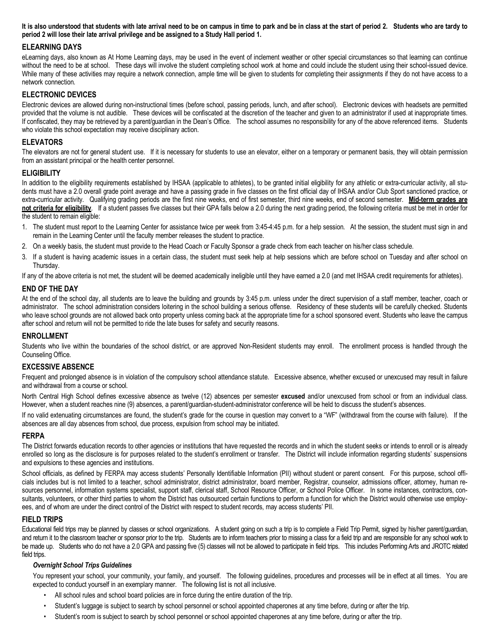**It is also understood that students with late arrival need to be on campus in time to park and be in class at the start of period 2. Students who are tardy to period 2 will lose their late arrival privilege and be assigned to a Study Hall period 1.** 

## **ELEARNING DAYS**

eLearning days, also known as At Home Learning days, may be used in the event of inclement weather or other special circumstances so that learning can continue without the need to be at school. These days will involve the student completing school work at home and could include the student using their school-issued device. While many of these activities may require a network connection, ample time will be given to students for completing their assignments if they do not have access to a network connection.

#### **ELECTRONIC DEVICES**

Electronic devices are allowed during non-instructional times (before school, passing periods, lunch, and after school). Electronic devices with headsets are permitted provided that the volume is not audible. These devices will be confiscated at the discretion of the teacher and given to an administrator if used at inappropriate times. If confiscated, they may be retrieved by a parent/guardian in the Dean's Office. The school assumes no responsibility for any of the above referenced items. Students who violate this school expectation may receive disciplinary action.

#### **ELEVATORS**

The elevators are not for general student use. If it is necessary for students to use an elevator, either on a temporary or permanent basis, they will obtain permission from an assistant principal or the health center personnel.

#### **ELIGIBILITY**

In addition to the eligibility requirements established by IHSAA (applicable to athletes), to be granted initial eligibility for any athletic or extra-curricular activity, all students must have a 2.0 overall grade point average and have a passing grade in five classes on the first official day of IHSAA and/or Club Sport sanctioned practice, or extra-curricular activity. Qualifying grading periods are the first nine weeks, end of first semester, third nine weeks, end of second semester. **Mid-term grades are not criteria for eligibility**. If a student passes five classes but their GPA falls below a 2.0 during the next grading period, the following criteria must be met in order for the student to remain eligible:

- 1. The student must report to the Learning Center for assistance twice per week from 3:45-4:45 p.m. for a help session. At the session, the student must sign in and remain in the Learning Center until the faculty member releases the student to practice.
- 2. On a weekly basis, the student must provide to the Head Coach or Faculty Sponsor a grade check from each teacher on his/her class schedule.
- 3. If a student is having academic issues in a certain class, the student must seek help at help sessions which are before school on Tuesday and after school on Thursday.

If any of the above criteria is not met, the student will be deemed academically ineligible until they have earned a 2.0 (and met IHSAA credit requirements for athletes).

#### **END OF THE DAY**

At the end of the school day, all students are to leave the building and grounds by 3:45 p.m. unless under the direct supervision of a staff member, teacher, coach or administrator. The school administration considers loitering in the school building a serious offense. Residency of these students will be carefully checked. Students who leave school grounds are not allowed back onto property unless coming back at the appropriate time for a school sponsored event. Students who leave the campus after school and return will not be permitted to ride the late buses for safety and security reasons.

#### **ENROLLMENT**

Students who live within the boundaries of the school district, or are approved Non-Resident students may enroll. The enrollment process is handled through the Counseling Office.

#### **EXCESSIVE ABSENCE**

Frequent and prolonged absence is in violation of the compulsory school attendance statute. Excessive absence, whether excused or unexcused may result in failure and withdrawal from a course or school.

North Central High School defines excessive absence as twelve (12) absences per semester **excused** and/or unexcused from school or from an individual class. However, when a student reaches nine (9) absences, a parent/guardian-student-administrator conference will be held to discuss the student's absences.

If no valid extenuating circumstances are found, the student's grade for the course in question may convert to a "WF" (withdrawal from the course with failure). If the absences are all day absences from school, due process, expulsion from school may be initiated.

#### **FERPA**

The District forwards education records to other agencies or institutions that have requested the records and in which the student seeks or intends to enroll or is already enrolled so long as the disclosure is for purposes related to the student's enrollment or transfer. The District will include information regarding students' suspensions and expulsions to these agencies and institutions.

School officials, as defined by FERPA may access students' Personally Identifiable Information (PII) without student or parent consent. For this purpose, school officials includes but is not limited to a teacher, school administrator, district administrator, board member, Registrar, counselor, admissions officer, attorney, human resources personnel, information systems specialist, support staff, clerical staff, School Resource Officer, or School Police Officer. In some instances, contractors, consultants, volunteers, or other third parties to whom the District has outsourced certain functions to perform a function for which the District would otherwise use employees, and of whom are under the direct control of the District with respect to student records, may access students' PII.

#### **FIELD TRIPS**

Educational field trips may be planned by classes or school organizations. A student going on such a trip is to complete a Field Trip Permit, signed by his/her parent/guardian, and return it to the classroom teacher or sponsor prior to the trip. Students are to inform teachers prior to missing a class for a field trip and are responsible for any school work to be made up. Students who do not have a 2.0 GPA and passing five (5) classes will not be allowed to participate in field trips. This includes Performing Arts and JROTC related field trips.

#### *Overnight School Trips Guidelines*

You represent your school, your community, your family, and yourself. The following guidelines, procedures and processes will be in effect at all times. You are expected to conduct yourself in an exemplary manner. The following list is not all inclusive.

- All school rules and school board policies are in force during the entire duration of the trip.
- Student's luggage is subject to search by school personnel or school appointed chaperones at any time before, during or after the trip.
- Student's room is subject to search by school personnel or school appointed chaperones at any time before, during or after the trip.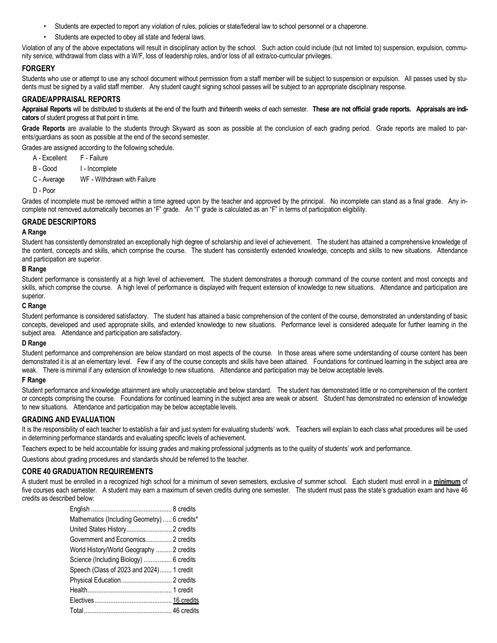- Students are expected to report any violation of rules, policies or state/federal law to school personnel or a chaperone.
- Students are expected to obey all state and federal laws.

Violation of any of the above expectations will result in disciplinary action by the school. Such action could include (but not limited to) suspension, expulsion, community service, withdrawal from class with a W/F, loss of leadership roles, and/or loss of all extra/co-curricular privileges.

#### **FORGERY**

Students who use or attempt to use any school document without permission from a staff member will be subject to suspension or expulsion. All passes used by students must be signed by a valid staff member. Any student caught signing school passes will be subject to an appropriate disciplinary response.

#### **GRADE/APPRAISAL REPORTS**

**Appraisal Reports** will be distributed to students at the end of the fourth and thirteenth weeks of each semester. **These are not official grade reports. Appraisals are indicators** of student progress at that point in time.

Grade Reports are available to the students through Skyward as soon as possible at the conclusion of each grading period. Grade reports are mailed to parents/guardians as soon as possible at the end of the second semester.

Grades are assigned according to the following schedule.

- A Excellent F Failure
- B Good I Incomplete
- C Average WF Withdrawn with Failure
- D Poor

Grades of incomplete must be removed within a time agreed upon by the teacher and approved by the principal. No incomplete can stand as a final grade. Any incomplete not removed automatically becomes an "F" grade. An "I" grade is calculated as an "F" in terms of participation eligibility.

#### **GRADE DESCRIPTORS**

#### **A Range**

Student has consistently demonstrated an exceptionally high degree of scholarship and level of achievement. The student has attained a comprehensive knowledge of the content, concepts and skills, which comprise the course. The student has consistently extended knowledge, concepts and skills to new situations. Attendance and participation are superior.

#### **B Range**

Student performance is consistently at a high level of achievement. The student demonstrates a thorough command of the course content and most concepts and skills, which comprise the course. A high level of performance is displayed with frequent extension of knowledge to new situations. Attendance and participation are superior.

#### **C Range**

Student performance is considered satisfactory. The student has attained a basic comprehension of the content of the course, demonstrated an understanding of basic concepts, developed and used appropriate skills, and extended knowledge to new situations. Performance level is considered adequate for further learning in the subject area. Attendance and participation are satisfactory.

#### **D Range**

Student performance and comprehension are below standard on most aspects of the course. In those areas where some understanding of course content has been demonstrated it is at an elementary level. Few if any of the course concepts and skills have been attained. Foundations for continued learning in the subject area are weak. There is minimal if any extension of knowledge to new situations. Attendance and participation may be below acceptable levels.

#### **F Range**

Student performance and knowledge attainment are wholly unacceptable and below standard. The student has demonstrated little or no comprehension of the content or concepts comprising the course. Foundations for continued learning in the subject area are weak or absent. Student has demonstrated no extension of knowledge to new situations. Attendance and participation may be below acceptable levels.

#### **GRADING AND EVALUATION**

It is the responsibility of each teacher to establish a fair and just system for evaluating students' work. Teachers will explain to each class what procedures will be used in determining performance standards and evaluating specific levels of achievement.

Teachers expect to be held accountable for issuing grades and making professional judgments as to the quality of students' work and performance.

Questions about grading procedures and standards should be referred to the teacher.

#### **CORE 40 GRADUATION REQUIREMENTS**

A student must be enrolled in a recognized high school for a minimum of seven semesters, exclusive of summer school. Each student must enroll in a **minimum** of five courses each semester. A student may earn a maximum of seven credits during one semester. The student must pass the state's graduation exam and have 46 credits as described below:

| Mathematics (Including Geometry)  6 credits* |  |
|----------------------------------------------|--|
| United States History 2 credits              |  |
| Government and Economics 2 credits           |  |
| World History/World Geography  2 credits     |  |
| Science (Including Biology)  6 credits       |  |
| Speech (Class of 2023 and 2024) 1 credit     |  |
| Physical Education 2 credits                 |  |
|                                              |  |
|                                              |  |
|                                              |  |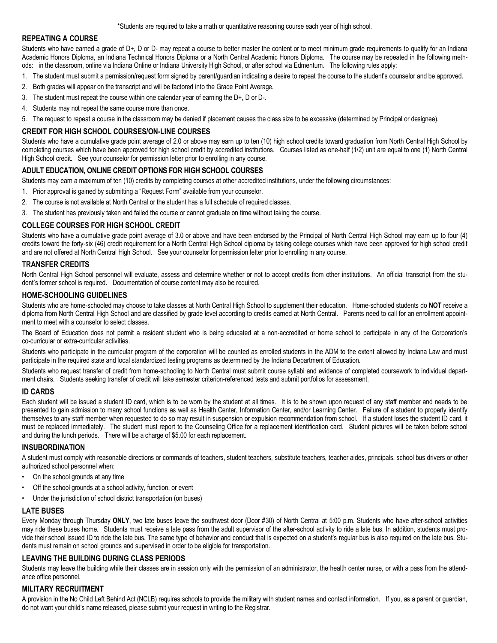\*Students are required to take a math or quantitative reasoning course each year of high school.

#### **REPEATING A COURSE**

Students who have earned a grade of D+, D or D- may repeat a course to better master the content or to meet minimum grade requirements to qualify for an Indiana Academic Honors Diploma, an Indiana Technical Honors Diploma or a North Central Academic Honors Diploma. The course may be repeated in the following methods: in the classroom, online via Indiana Online or Indiana University High School, or after school via Edmentum. The following rules apply:

- 1. The student must submit a permission/request form signed by parent/guardian indicating a desire to repeat the course to the student's counselor and be approved.
- 2. Both grades will appear on the transcript and will be factored into the Grade Point Average.
- 3. The student must repeat the course within one calendar year of earning the D+, D or D-.
- 4. Students may not repeat the same course more than once.
- 5. The request to repeat a course in the classroom may be denied if placement causes the class size to be excessive (determined by Principal or designee).

#### **CREDIT FOR HIGH SCHOOL COURSES/ON-LINE COURSES**

Students who have a cumulative grade point average of 2.0 or above may earn up to ten (10) high school credits toward graduation from North Central High School by completing courses which have been approved for high school credit by accredited institutions. Courses listed as one-half (1/2) unit are equal to one (1) North Central High School credit. See your counselor for permission letter prior to enrolling in any course.

#### **ADULT EDUCATION, ONLINE CREDIT OPTIONS FOR HIGH SCHOOL COURSES**

Students may earn a maximum of ten (10) credits by completing courses at other accredited institutions, under the following circumstances:

- 1. Prior approval is gained by submitting a "Request Form" available from your counselor.
- 2. The course is not available at North Central or the student has a full schedule of required classes.
- 3. The student has previously taken and failed the course or cannot graduate on time without taking the course.

#### **COLLEGE COURSES FOR HIGH SCHOOL CREDIT**

Students who have a cumulative grade point average of 3.0 or above and have been endorsed by the Principal of North Central High School may earn up to four (4) credits toward the forty-six (46) credit requirement for a North Central High School diploma by taking college courses which have been approved for high school credit and are not offered at North Central High School. See your counselor for permission letter prior to enrolling in any course.

#### **TRANSFER CREDITS**

North Central High School personnel will evaluate, assess and determine whether or not to accept credits from other institutions. An official transcript from the student's former school is required. Documentation of course content may also be required.

#### **HOME-SCHOOLING GUIDELINES**

Students who are home-schooled may choose to take classes at North Central High School to supplement their education. Home-schooled students do **NOT** receive a diploma from North Central High School and are classified by grade level according to credits earned at North Central. Parents need to call for an enrollment appointment to meet with a counselor to select classes.

The Board of Education does not permit a resident student who is being educated at a non-accredited or home school to participate in any of the Corporation's co-curricular or extra-curricular activities.

Students who participate in the curricular program of the corporation will be counted as enrolled students in the ADM to the extent allowed by Indiana Law and must participate in the required state and local standardized testing programs as determined by the Indiana Department of Education.

Students who request transfer of credit from home-schooling to North Central must submit course syllabi and evidence of completed coursework to individual department chairs. Students seeking transfer of credit will take semester criterion-referenced tests and submit portfolios for assessment.

#### **ID CARDS**

Each student will be issued a student ID card, which is to be worn by the student at all times. It is to be shown upon request of any staff member and needs to be presented to gain admission to many school functions as well as Health Center, Information Center, and/or Learning Center. Failure of a student to properly identify themselves to any staff member when requested to do so may result in suspension or expulsion recommendation from school. If a student loses the student ID card, it must be replaced immediately. The student must report to the Counseling Office for a replacement identification card. Student pictures will be taken before school and during the lunch periods. There will be a charge of \$5.00 for each replacement.

#### **INSUBORDINATION**

A student must comply with reasonable directions or commands of teachers, student teachers, substitute teachers, teacher aides, principals, school bus drivers or other authorized school personnel when:

- On the school grounds at any time
- Off the school grounds at a school activity, function, or event
- Under the jurisdiction of school district transportation (on buses)

#### **LATE BUSES**

Every Monday through Thursday **ONLY**, two late buses leave the southwest door (Door #30) of North Central at 5:00 p.m. Students who have after-school activities may ride these buses home. Students must receive a late pass from the adult supervisor of the after-school activity to ride a late bus. In addition, students must provide their school issued ID to ride the late bus. The same type of behavior and conduct that is expected on a student's regular bus is also required on the late bus. Students must remain on school grounds and supervised in order to be eligible for transportation.

#### **LEAVING THE BUILDING DURING CLASS PERIODS**

Students may leave the building while their classes are in session only with the permission of an administrator, the health center nurse, or with a pass from the attendance office personnel.

#### **MILITARY RECRUITMENT**

A provision in the No Child Left Behind Act (NCLB) requires schools to provide the military with student names and contact information. If you, as a parent or guardian, do not want your child's name released, please submit your request in writing to the Registrar.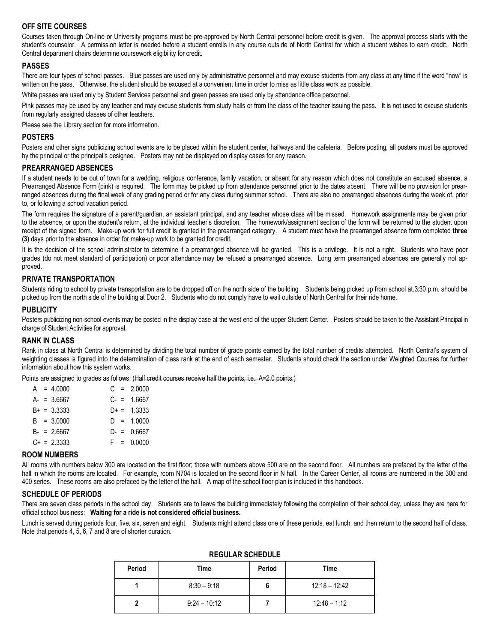## **OFF SITE COURSES**

Courses taken through On-line or University programs must be pre-approved by North Central personnel before credit is given. The approval process starts with the student's counselor. A permission letter is needed before a student enrolls in any course outside of North Central for which a student wishes to earn credit. North Central department chairs determine coursework eligibility for credit.

#### **PASSES**

There are four types of school passes. Blue passes are used only by administrative personnel and may excuse students from any class at any time if the word "now" is written on the pass. Otherwise, the student should be excused at a convenient time in order to miss as little class work as possible.

White passes are used only by Student Services personnel and green passes are used only by attendance office personnel.

Pink passes may be used by any teacher and may excuse students from study halls or from the class of the teacher issuing the pass. It is not used to excuse students from regularly assigned classes of other teachers.

Please see the Library section for more information.

#### **POSTERS**

Posters and other signs publicizing school events are to be placed within the student center, hallways and the cafeteria. Before posting, all posters must be approved by the principal or the principal's designee. Posters may not be displayed on display cases for any reason.

#### **PREARRANGED ABSENCES**

If a student needs to be out of town for a wedding, religious conference, family vacation, or absent for any reason which does not constitute an excused absence, a Prearranged Absence Form (pink) is required. The form may be picked up from attendance personnel prior to the dates absent. There will be no provision for prearranged absences during the final week of any grading period or for any class during summer school. There are also no prearranged absences during the week of, prior to, or following a school vacation period.

The form requires the signature of a parent/guardian, an assistant principal, and any teacher whose class will be missed. Homework assignments may be given prior to the absence, or upon the student's return, at the individual teacher's discretion. The homework/assignment section of the form will be returned to the student upon receipt of the signed form. Make-up work for full credit is granted in the prearranged category. A student must have the prearranged absence form completed **three (3)** days prior to the absence in order for make-up work to be granted for credit.

It is the decision of the school administrator to determine if a prearranged absence will be granted. This is a privilege. It is not a right. Students who have poor grades (do not meet standard of participation) or poor attendance may be refused a prearranged absence. Long term prearranged absences are generally not approved.

#### **PRIVATE TRANSPORTATION**

Students riding to school by private transportation are to be dropped off on the north side of the building. Students being picked up from school at.3:30 p.m. should be picked up from the north side of the building at Door 2. Students who do not comply have to wait outside of North Central for their ride home.

#### **PUBLICITY**

Posters publicizing non-school events may be posted in the display case at the west end of the upper Student Center. Posters should be taken to the Assistant Principal in charge of Student Activities for approval.

#### **RANK IN CLASS**

Rank in class at North Central is determined by dividing the total number of grade points earned by the total number of credits attempted. North Central's system of weighting classes is figured into the determination of class rank at the end of each semester. Students should check the section under Weighted Courses for further information about how this system works.

Points are assigned to grades as follows: (Half credit courses receive half the points, i.e., A=2.0 points.)

|  | $A = 4.0000$     |  | $C = 2.0000$  |
|--|------------------|--|---------------|
|  | $A - = 3.6667$   |  | $C = 1.6667$  |
|  | $B+ = 3.3333$    |  | $D+ = 1.3333$ |
|  | $B = 3.0000$     |  | $D = 1.0000$  |
|  | $B - = 2.6667$   |  | $D = 0.6667$  |
|  | $C_{+}$ = 2.3333 |  | $F = 0.0000$  |
|  |                  |  |               |

#### **ROOM NUMBERS**

All rooms with numbers below 300 are located on the first floor; those with numbers above 500 are on the second floor. All numbers are prefaced by the letter of the hall in which the rooms are located. For example, room N704 is located on the second floor in N hall. In the Career Center, all rooms are numbered in the 300 and 400 series. These rooms are also prefaced by the letter of the hall. A map of the school floor plan is included in this handbook.

#### **SCHEDULE OF PERIODS**

There are seven class periods in the school day. Students are to leave the building immediately following the completion of their school day, unless they are here for official school business: **Waiting for a ride is not considered official business.**

Lunch is served during periods four, five, six, seven and eight. Students might attend class one of these periods, eat lunch, and then return to the second half of class. Note that periods 4, 5, 6, 7 and 8 are of shorter duration.

| Period | Time           | Period | Time            |  |  |
|--------|----------------|--------|-----------------|--|--|
|        | $8:30 - 9:18$  | o      | $12:18 - 12:42$ |  |  |
|        | $9:24 - 10:12$ |        | $12:48 - 1:12$  |  |  |

## **REGULAR SCHEDULE**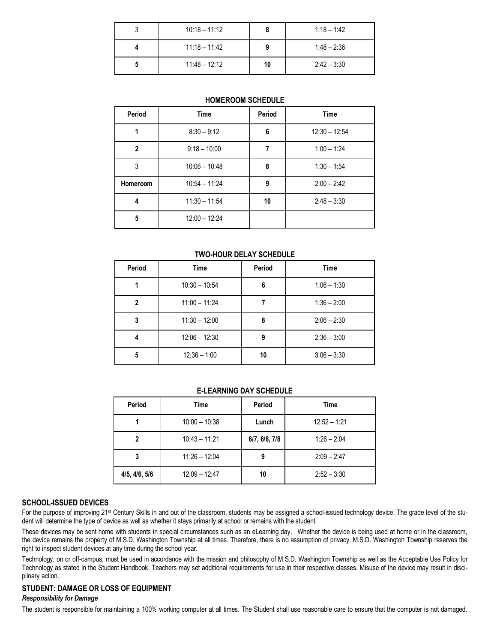| u | $10:18 - 11:12$ |    | $1:18 - 1:42$ |
|---|-----------------|----|---------------|
|   | $11:18 - 11:42$ |    | $1:48 - 2:36$ |
|   | $11:48 - 12:12$ | 10 | $2:42 - 3:30$ |

#### **HOMEROOM SCHEDULE**

| Period        | <b>Time</b>     | Period | <b>Time</b>     |
|---------------|-----------------|--------|-----------------|
|               | $8:30 - 9:12$   | 6      | $12:30 - 12:54$ |
| $\mathfrak z$ | $9:18 - 10:00$  |        | $1:00 - 1:24$   |
| 3             | $10:06 - 10:48$ | 8      | $1:30 - 1:54$   |
| Homeroom      | $10:54 - 11:24$ | 9      | $2:00 - 2:42$   |
| 4             | $11:30 - 11:54$ | 10     | $2:48 - 3:30$   |
| 5             | $12:00 - 12:24$ |        |                 |

#### **TWO-HOUR DELAY SCHEDULE**

| Period       | Time            | Period | Time          |
|--------------|-----------------|--------|---------------|
|              | $10:30 - 10:54$ | 6      | $1:06 - 1:30$ |
| $\mathbf{2}$ | $11:00 - 11:24$ |        | $1:36 - 2:00$ |
| 3            | $11:30 - 12:00$ | 8      | $2:06 - 2:30$ |
| 4            | $12:06 - 12:30$ | 9      | $2:36 - 3:00$ |
| 5            | $12:36 - 1:00$  | 10     | $3:06 - 3:30$ |

#### **E-LEARNING DAY SCHEDULE**

| Period        | Time            | Period        | Time           |
|---------------|-----------------|---------------|----------------|
|               | $10:00 - 10:38$ | Lunch         | $12:52 - 1:21$ |
|               | $10:43 - 11:21$ | 6/7, 6/8, 7/8 | $1:26 - 2:04$  |
| 3             | $11:26 - 12:04$ | 9             | $2:09 - 2:47$  |
| 4/5, 4/6, 5/6 | $12:09 - 12:47$ | 10            | $2:52 - 3:30$  |

#### **SCHOOL-ISSUED DEVICES**

For the purpose of improving 21<sup>st</sup> Century Skills in and out of the classroom, students may be assigned a school-issued technology device. The grade level of the student will determine the type of device as well as whether it stays primarily at school or remains with the student.

These devices may be sent home with students in special circumstances such as an eLearning day. Whether the device is being used at home or in the classroom, the device remains the property of M.S.D. Washington Township at all times. Therefore, there is no assumption of privacy. M.S.D. Washington Township reserves the right to inspect student devices at any time during the school year.

Technology, on or off-campus, must be used in accordance with the mission and philosophy of M.S.D. Washington Township as well as the Acceptable Use Policy for Technology as stated in the Student Handbook. Teachers may set additional requirements for use in their respective classes. Misuse of the device may result in disciplinary action.

## **STUDENT: DAMAGE OR LOSS OF EQUIPMENT**

## *Responsibility for Damage*

The student is responsible for maintaining a 100% working computer at all times. The Student shall use reasonable care to ensure that the computer is not damaged.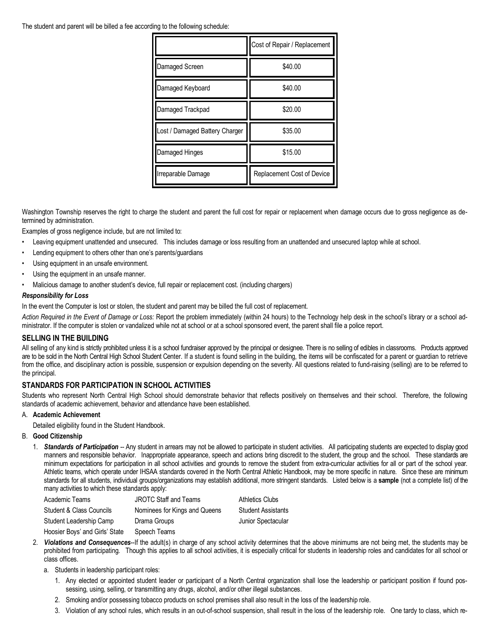The student and parent will be billed a fee according to the following schedule:

|                                | Cost of Repair / Replacement |  |  |
|--------------------------------|------------------------------|--|--|
| Damaged Screen                 | \$40.00                      |  |  |
| Damaged Keyboard               | \$40.00                      |  |  |
| Damaged Trackpad               | \$20.00                      |  |  |
| Lost / Damaged Battery Charger | \$35.00                      |  |  |
| Damaged Hinges                 | \$15.00                      |  |  |
| Irreparable Damage             | Replacement Cost of Device   |  |  |

Washington Township reserves the right to charge the student and parent the full cost for repair or replacement when damage occurs due to gross negligence as determined by administration.

Examples of gross negligence include, but are not limited to:

- Leaving equipment unattended and unsecured. This includes damage or loss resulting from an unattended and unsecured laptop while at school.
- Lending equipment to others other than one's parents/guardians
- Using equipment in an unsafe environment.
- Using the equipment in an unsafe manner.
- Malicious damage to another student's device, full repair or replacement cost. (including chargers)

#### *Responsibility for Loss*

In the event the Computer is lost or stolen, the student and parent may be billed the full cost of replacement.

*Action Required in the Event of Damage or Loss:* Report the problem immediately (within 24 hours) to the Technology help desk in the school's library or a school administrator. If the computer is stolen or vandalized while not at school or at a school sponsored event, the parent shall file a police report.

#### **SELLING IN THE BUILDING**

All selling of any kind is strictly prohibited unless it is a school fundraiser approved by the principal or designee. There is no selling of edibles in classrooms. Products approved are to be sold in the North Central High School Student Center. If a student is found selling in the building, the items will be confiscated for a parent or guardian to retrieve from the office, and disciplinary action is possible, suspension or expulsion depending on the severity. All questions related to fund-raising (selling) are to be referred to the principal.

#### **STANDARDS FOR PARTICIPATION IN SCHOOL ACTIVITIES**

Students who represent North Central High School should demonstrate behavior that reflects positively on themselves and their school. Therefore, the following standards of academic achievement, behavior and attendance have been established.

#### A. **Academic Achievement**

Detailed eligibility found in the Student Handbook.

#### B. **Good Citizenship**

1. *Standards of Participation* -- Any student in arrears may not be allowed to participate in student activities. All participating students are expected to display good manners and responsible behavior. Inappropriate appearance, speech and actions bring discredit to the student, the group and the school. These standards are minimum expectations for participation in all school activities and grounds to remove the student from extra-curricular activities for all or part of the school year. Athletic teams, which operate under IHSAA standards covered in the North Central Athletic Handbook, may be more specific in nature. Since these are minimum standards for all students, individual groups/organizations may establish additional, more stringent standards. Listed below is a **sample** (not a complete list) of the many activities to which these standards apply:

| Academic Teams                 | <b>JROTC Staff and Teams</b>  | <b>Athletics Clubs</b>    |
|--------------------------------|-------------------------------|---------------------------|
| Student & Class Councils       | Nominees for Kings and Queens | <b>Student Assistants</b> |
| Student Leadership Camp        | Drama Groups                  | Junior Spectacular        |
| Hoosier Boys' and Girls' State | Speech Teams                  |                           |

- 2. *Violations and Consequences*--If the adult(s) in charge of any school activity determines that the above minimums are not being met, the students may be prohibited from participating. Though this applies to all school activities, it is especially critical for students in leadership roles and candidates for all school or class offices.
	- a. Students in leadership participant roles:
		- 1. Any elected or appointed student leader or participant of a North Central organization shall lose the leadership or participant position if found possessing, using, selling, or transmitting any drugs, alcohol, and/or other illegal substances.
		- 2. Smoking and/or possessing tobacco products on school premises shall also result in the loss of the leadership role.
		- 3. Violation of any school rules, which results in an out-of-school suspension, shall result in the loss of the leadership role. One tardy to class, which re-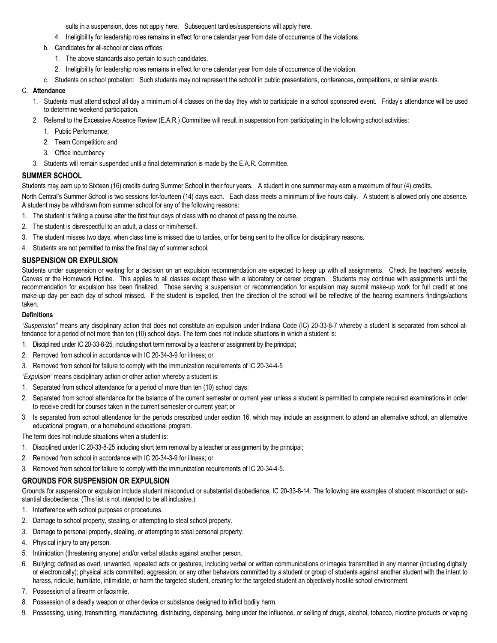sults in a suspension, does not apply here. Subsequent tardies/suspensions will apply here.

- 4. Ineligibility for leadership roles remains in effect for one calendar year from date of occurrence of the violations.
- b. Candidates for all-school or class offices:
	- 1. The above standards also pertain to such candidates.
	- 2. Ineligibility for leadership roles remains in effect for one calendar year from date of occurrence of the violation.
- c. Students on school probation: Such students may not represent the school in public presentations, conferences, competitions, or similar events.

#### C. **Attendance**

- 1. Students must attend school all day a minimum of 4 classes on the day they wish to participate in a school sponsored event. Friday's attendance will be used to determine weekend participation.
- 2. Referral to the Excessive Absence Review (E.A.R.) Committee will result in suspension from participating in the following school activities:
	- 1. Public Performance;
	- 2. Team Competition; and
	- 3. Office Incumbency
- 3. Students will remain suspended until a final determination is made by the E.A.R. Committee.

#### **SUMMER SCHOOL**

Students may earn up to Sixteen (16) credits during Summer School in their four years. A student in one summer may earn a maximum of four (4) credits.

North Central's Summer School is two sessions for fourteen (14) days each. Each class meets a minimum of five hours daily. A student is allowed only one absence. A student may be withdrawn from summer school for any of the following reasons:

- 1. The student is failing a course after the first four days of class with no chance of passing the course.
- 2. The student is disrespectful to an adult, a class or him/herself.
- 3. The student misses two days, when class time is missed due to tardies, or for being sent to the office for disciplinary reasons.
- 4. Students are not permitted to miss the final day of summer school.

#### **SUSPENSION OR EXPULSION**

Students under suspension or waiting for a decision on an expulsion recommendation are expected to keep up with all assignments. Check the teachers' website, Canvas or the Homework Hotline. This applies to all classes except those with a laboratory or career program. Students may continue with assignments until the recommendation for expulsion has been finalized. Those serving a suspension or recommendation for expulsion may submit make-up work for full credit at one make-up day per each day of school missed. If the student is expelled, then the direction of the school will be reflective of the hearing examiner's findings/actions taken.

#### **Definitions**

*"Suspension"* means any disciplinary action that does not constitute an expulsion under Indiana Code (IC) 20-33-8-7 whereby a student is separated from school attendance for a period of not more than ten (10) school days. The term does not include situations in which a student is:

- 1. Disciplined under IC 20-33-8-25, including short term removal by a teacher or assignment by the principal;
- 2. Removed from school in accordance with IC 20-34-3-9 for illness; or
- 3. Removed from school for failure to comply with the immunization requirements of IC 20-34-4-5

*"Expulsion"* means disciplinary action or other action whereby a student is:

- 1. Separated from school attendance for a period of more than ten (10) school days;
- 2. Separated from school attendance for the balance of the current semester or current year unless a student is permitted to complete required examinations in order to receive credit for courses taken in the current semester or current year; or
- 3. Is separated from school attendance for the periods prescribed under section 16, which may include an assignment to attend an alternative school, an alternative educational program, or a homebound educational program.

The term does not include situations when a student is:

- 1. Disciplined under IC 20-33-8-25 including short term removal by a teacher or assignment by the principal;
- 2. Removed from school in accordance with IC 20-34-3-9 for illness; or
- 3. Removed from school for failure to comply with the immunization requirements of IC 20-34-4-5.

#### **GROUNDS FOR SUSPENSION OR EXPULSION**

Grounds for suspension or expulsion include student misconduct or substantial disobedience, IC 20-33-8-14. The following are examples of student misconduct or substantial disobedience. (This list is not intended to be all inclusive.):

- 1. Interference with school purposes or procedures.
- 2. Damage to school property, stealing, or attempting to steal school property.
- 3. Damage to personal property, stealing, or attempting to steal personal property.
- 4. Physical injury to any person.
- 5. Intimidation (threatening anyone) and/or verbal attacks against another person.
- 6. Bullying; defined as overt, unwanted, repeated acts or gestures, including verbal or written communications or images transmitted in any manner (including digitally or electronically); physical acts committed; aggression; or any other behaviors committed by a student or group of students against another student with the intent to harass, ridicule, humiliate, intimidate, or harm the targeted student, creating for the targeted student an objectively hostile school environment.
- 7. Possession of a firearm or facsimile.
- 8. Possession of a deadly weapon or other device or substance designed to inflict bodily harm.
- 9. Possessing, using, transmitting, manufacturing, distributing, dispensing, being under the influence, or selling of drugs, alcohol, tobacco, nicotine products or vaping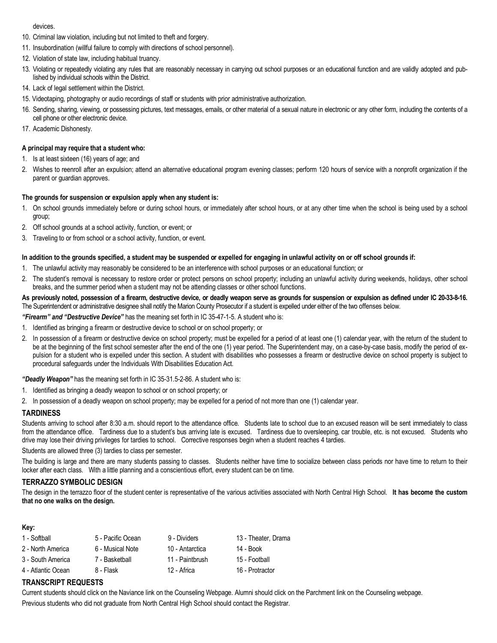#### devices.

- 10. Criminal law violation, including but not limited to theft and forgery.
- 11. Insubordination (willful failure to comply with directions of school personnel).
- 12. Violation of state law, including habitual truancy.
- 13. Violating or repeatedly violating any rules that are reasonably necessary in carrying out school purposes or an educational function and are validly adopted and published by individual schools within the District.
- 14. Lack of legal settlement within the District.
- 15. Videotaping, photography or audio recordings of staff or students with prior administrative authorization.
- 16. Sending, sharing, viewing, or possessing pictures, text messages, emails, or other material of a sexual nature in electronic or any other form, including the contents of a cell phone or other electronic device.
- 17. Academic Dishonesty.

#### **A principal may require that a student who:**

- 1. Is at least sixteen (16) years of age; and
- 2. Wishes to reenroll after an expulsion; attend an alternative educational program evening classes; perform 120 hours of service with a nonprofit organization if the parent or guardian approves.

#### **The grounds for suspension or expulsion apply when any student is:**

- 1. On school grounds immediately before or during school hours, or immediately after school hours, or at any other time when the school is being used by a school group;
- 2. Off school grounds at a school activity, function, or event; or
- 3. Traveling to or from school or a school activity, function, or event.

#### **In addition to the grounds specified, a student may be suspended or expelled for engaging in unlawful activity on or off school grounds if:**

- 1. The unlawful activity may reasonably be considered to be an interference with school purposes or an educational function; or
- 2. The student's removal is necessary to restore order or protect persons on school property; including an unlawful activity during weekends, holidays, other school breaks, and the summer period when a student may not be attending classes or other school functions.

#### **As previously noted, possession of a firearm, destructive device, or deadly weapon serve as grounds for suspension or expulsion as defined under IC 20-33-8-16.**  The Superintendent or administrative designee shall notify the Marion County Prosecutor if a student is expelled under either of the two offenses below.

*"Firearm" and "Destructive Device"* has the meaning set forth in IC 35-47-1-5. A student who is:

- 1. Identified as bringing a firearm or destructive device to school or on school property; or
- 2. In possession of a firearm or destructive device on school property; must be expelled for a period of at least one (1) calendar year, with the return of the student to be at the beginning of the first school semester after the end of the one (1) year period. The Superintendent may, on a case-by-case basis, modify the period of expulsion for a student who is expelled under this section. A student with disabilities who possesses a firearm or destructive device on school property is subject to procedural safeguards under the Individuals With Disabilities Education Act.

*"Deadly Weapon"* has the meaning set forth in IC 35-31.5-2-86. A student who is:

- 1. Identified as bringing a deadly weapon to school or on school property; or
- 2. In possession of a deadly weapon on school property; may be expelled for a period of not more than one (1) calendar year.

#### **TARDINESS**

Students arriving to school after 8:30 a.m. should report to the attendance office. Students late to school due to an excused reason will be sent immediately to class from the attendance office. Tardiness due to a student's bus arriving late is excused. Tardiness due to oversleeping, car trouble, etc. is not excused. Students who drive may lose their driving privileges for tardies to school. Corrective responses begin when a student reaches 4 tardies.

Students are allowed three (3) tardies to class per semester.

The building is large and there are many students passing to classes. Students neither have time to socialize between class periods nor have time to return to their locker after each class. With a little planning and a conscientious effort, every student can be on time.

### **TERRAZZO SYMBOLIC DESIGN**

The design in the terrazzo floor of the student center is representative of the various activities associated with North Central High School. **It has become the custom that no one walks on the design.**

#### **Key:**

| 1 - Softball       | 5 - Pacific Ocean | 9 - Dividers    | 13 - Theater, Drama |
|--------------------|-------------------|-----------------|---------------------|
| 2 - North America  | 6 - Musical Note  | 10 - Antarctica | 14 - Book           |
| 3 - South America  | 7 - Basketball    | 11 - Paintbrush | 15 - Football       |
| 4 - Atlantic Ocean | 8 - Flask         | 12 - Africa     | 16 - Protractor     |

## **TRANSCRIPT REQUESTS**

Current students should click on the Naviance link on the Counseling Webpage. Alumni should click on the Parchment link on the Counseling webpage. Previous students who did not graduate from North Central High School should contact the Registrar.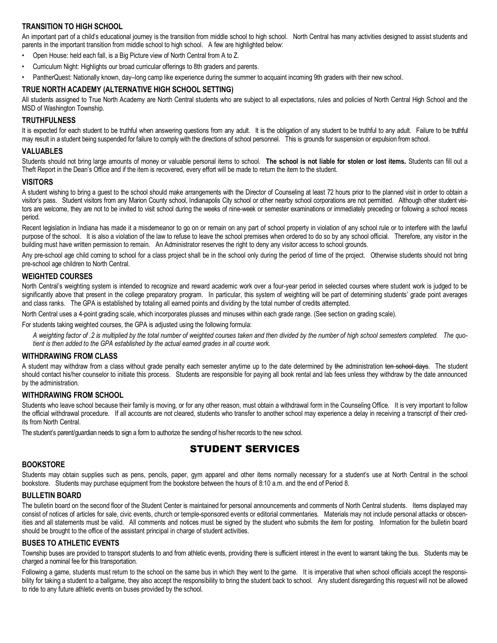## **TRANSITION TO HIGH SCHOOL**

An important part of a child's educational journey is the transition from middle school to high school. North Central has many activities designed to assist students and parents in the important transition from middle school to high school. A few are highlighted below:

- Open House: held each fall, is a Big Picture view of North Central from A to Z.
- Curriculum Night: Highlights our broad curricular offerings to 8th graders and parents.
- PantherQuest: Nationally known, day–long camp like experience during the summer to acquaint incoming 9th graders with their new school.

## **TRUE NORTH ACADEMY (ALTERNATIVE HIGH SCHOOL SETTING)**

All students assigned to True North Academy are North Central students who are subject to all expectations, rules and policies of North Central High School and the MSD of Washington Township.

### **TRUTHFULNESS**

It is expected for each student to be truthful when answering questions from any adult. It is the obligation of any student to be truthful to any adult. Failure to be truthful may result in a student being suspended for failure to comply with the directions of school personnel. This is grounds for suspension or expulsion from school.

#### **VALUABLES**

Students should not bring large amounts of money or valuable personal items to school. **The school is not liable for stolen or lost items.** Students can fill out a Theft Report in the Dean's Office and if the item is recovered, every effort will be made to return the item to the student.

#### **VISITORS**

A student wishing to bring a guest to the school should make arrangements with the Director of Counseling at least 72 hours prior to the planned visit in order to obtain a visitor's pass. Student visitors from any Marion County school, Indianapolis City school or other nearby school corporations are not permitted. Although other student visitors are welcome, they are not to be invited to visit school during the weeks of nine-week or semester examinations or immediately preceding or following a school recess period.

Recent legislation in Indiana has made it a misdemeanor to go on or remain on any part of school property in violation of any school rule or to interfere with the lawful purpose of the school. It is also a violation of the law to refuse to leave the school premises when ordered to do so by any school official. Therefore, any visitor in the building must have written permission to remain. An Administrator reserves the right to deny any visitor access to school grounds.

Any pre-school age child coming to school for a class project shall be in the school only during the period of time of the project. Otherwise students should not bring pre-school age children to North Central.

#### **WEIGHTED COURSES**

North Central's weighting system is intended to recognize and reward academic work over a four-year period in selected courses where student work is judged to be significantly above that present in the college preparatory program. In particular, this system of weighting will be part of determining students' grade point averages and class ranks. The GPA is established by totaling all earned points and dividing by the total number of credits attempted.

North Central uses a 4-point grading scale, which incorporates plusses and minuses within each grade range. (See section on grading scale).

For students taking weighted courses, the GPA is adjusted using the following formula:

*A weighting factor of .2 is multiplied by the total number of weighted courses taken and then divided by the number of high school semesters completed. The quotient is then added to the GPA established by the actual earned grades in all course work.*

#### **WITHDRAWING FROM CLASS**

A student may withdraw from a class without grade penalty each semester anytime up to the date determined by the administration ten school days. The student should contact his/her counselor to initiate this process. Students are responsible for paying all book rental and lab fees unless they withdraw by the date announced by the administration.

#### **WITHDRAWING FROM SCHOOL**

Students who leave school because their family is moving, or for any other reason, must obtain a withdrawal form in the Counseling Office. It is very important to follow the official withdrawal procedure. If all accounts are not cleared, students who transfer to another school may experience a delay in receiving a transcript of their credits from North Central.

The student's parent/guardian needs to sign a form to authorize the sending of his/her records to the new school.

# STUDENT SERVICES

#### **BOOKSTORE**

Students may obtain supplies such as pens, pencils, paper, gym apparel and other items normally necessary for a student's use at North Central in the school bookstore. Students may purchase equipment from the bookstore between the hours of 8:10 a.m. and the end of Period 8.

#### **BULLETIN BOARD**

The bulletin board on the second floor of the Student Center is maintained for personal announcements and comments of North Central students. Items displayed may consist of notices of articles for sale, civic events, church or temple-sponsored events or editorial commentaries. Materials may not include personal attacks or obscenities and all statements must be valid. All comments and notices must be signed by the student who submits the item for posting. Information for the bulletin board should be brought to the office of the assistant principal in charge of student activities.

#### **BUSES TO ATHLETIC EVENTS**

Township buses are provided to transport students to and from athletic events, providing there is sufficient interest in the event to warrant taking the bus. Students may be charged a nominal fee for this transportation.

Following a game, students must return to the school on the same bus in which they went to the game. It is imperative that when school officials accept the responsibility for taking a student to a ballgame, they also accept the responsibility to bring the student back to school. Any student disregarding this request will not be allowed to ride to any future athletic events on buses provided by the school.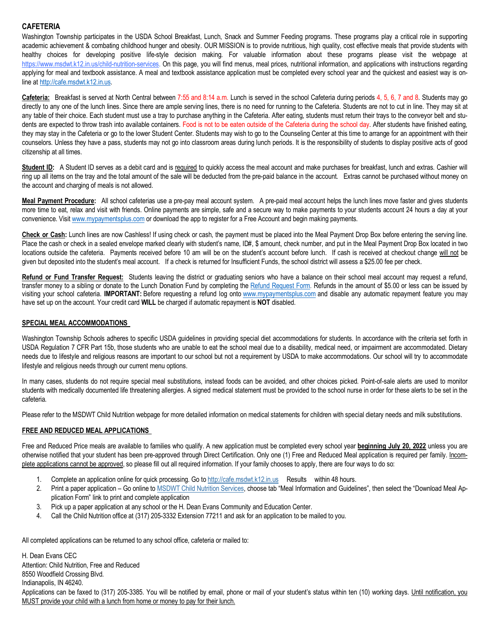## **CAFETERIA**

Washington Township participates in the USDA School Breakfast, Lunch, Snack and Summer Feeding programs. These programs play a critical role in supporting academic achievement & combating childhood hunger and obesity. OUR MISSION is to provide nutritious, high quality, cost effective meals that provide students with healthy choices for developing positive life-style decision making. For valuable information about these programs please visit the webpage at [https://www.msdwt.k12.in.us/child-nutrition-services.](https://www.msdwt.k12.in.us/child-nutrition-services) On this page, you will find menus, meal prices, nutritional information, and applications with instructions regarding applying for meal and textbook assistance. A meal and textbook assistance application must be completed every school year and the quickest and easiest way is online a[t http://cafe.msdwt.k12.in.us.](http://cafe.msdwt.k12.in.us/)

**Cafeteria:** Breakfast is served at North Central between 7:55 and 8:14 a.m. Lunch is served in the school Cafeteria during periods 4, 5, 6, 7 and 8. Students may go directly to any one of the lunch lines. Since there are ample serving lines, there is no need for running to the Cafeteria. Students are not to cut in line. They may sit at any table of their choice. Each student must use a tray to purchase anything in the Cafeteria. After eating, students must return their trays to the conveyor belt and students are expected to throw trash into available containers. Food is not to be eaten outside of the Cafeteria during the school day. After students have finished eating, they may stay in the Cafeteria or go to the lower Student Center. Students may wish to go to the Counseling Center at this time to arrange for an appointment with their counselors. Unless they have a pass, students may not go into classroom areas during lunch periods. It is the responsibility of students to display positive acts of good citizenship at all times.

Student ID: A Student ID serves as a debit card and is required to quickly access the meal account and make purchases for breakfast, lunch and extras. Cashier will ring up all items on the tray and the total amount of the sale will be deducted from the pre-paid balance in the account. Extras cannot be purchased without money on the account and charging of meals is not allowed.

**Meal Payment Procedure:** All school cafeterias use a pre-pay meal account system. A pre-paid meal account helps the lunch lines move faster and gives students more time to eat, relax and visit with friends. Online payments are simple, safe and a secure way to make payments to your students account 24 hours a day at your convenience. Visit [www.mypaymentsplus.com](http://www.mypaymentsplus.com/) or download the app to register for a Free Account and begin making payments.

**Check or Cash:** Lunch lines are now Cashless! If using check or cash, the payment must be placed into the Meal Payment Drop Box before entering the serving line. Place the cash or check in a sealed envelope marked clearly with student's name, ID#, \$ amount, check number, and put in the Meal Payment Drop Box located in two locations outside the cafeteria. Payments received before 10 am will be on the student's account before lunch. If cash is received at checkout change will not be given but deposited into the student's meal account. If a check is returned for Insufficient Funds, the school district will assess a \$25.00 fee per check.

**Refund or Fund Transfer Request:** Students leaving the district or graduating seniors who have a balance on their school meal account may request a refund, transfer money to a sibling or donate to the Lunch Donation Fund by completing the [Refund Request Form.](https://docs.google.com/forms/d/e/1FAIpQLSfiWsqrn5flSE92C5rHsQYJOC1sLJHMCBZGTOCUliOOMfaJ-Q/viewform) Refunds in the amount of \$5.00 or less can be issued by visiting your school cafeteria. **IMPORTANT:** Before requesting a refund log onto [www.mypaymentsplus.com](http://www.mypaymentsplus.com/) and disable any automatic repayment feature you may have set up on the account. Your credit card **WILL** be charged if automatic repayment is **NOT** disabled.

#### **SPECIAL MEAL ACCOMMODATIONS**

Washington Township Schools adheres to specific USDA guidelines in providing special diet accommodations for students. In accordance with the criteria set forth in USDA Regulation 7 CFR Part 15b, those students who are unable to eat the school meal due to a disability, medical need, or impairment are accommodated. Dietary needs due to lifestyle and religious reasons are important to our school but not a requirement by USDA to make accommodations. Our school will try to accommodate lifestyle and religious needs through our current menu options.

In many cases, students do not require special meal substitutions, instead foods can be avoided, and other choices picked. Point-of-sale alerts are used to monitor students with medically documented life threatening allergies. A signed medical statement must be provided to the school nurse in order for these alerts to be set in the cafeteria.

Please refer to the MSDWT Child Nutrition webpage for more detailed information on medical statements for children with special dietary needs and milk substitutions.

#### **FREE AND REDUCED MEAL APPLICATIONS**

Free and Reduced Price meals are available to families who qualify. A new application must be completed every school year **beginning July 20, 2022** unless you are otherwise notified that your student has been pre-approved through Direct Certification. Only one (1) Free and Reduced Meal application is required per family. Incomplete applications cannot be approved, so please fill out all required information. If your family chooses to apply, there are four ways to do so:

- 1. Complete an application online for quick processing. Go to http://cafe.msdwt.k12.in.us Results within 48 hours.
- 2. Print a paper application Go online to MSDWT Child Nutrition Services, choose tab "Meal Information and Guidelines", then select the "Download Meal Application Form" link to print and complete application
- 3. Pick up a paper application at any school or the H. Dean Evans Community and Education Center.
- 4. Call the Child Nutrition office at (317) 205-3332 Extension 77211 and ask for an application to be mailed to you.

All completed applications can be returned to any school office, cafeteria or mailed to:

H. Dean Evans CEC Attention: Child Nutrition, Free and Reduced 8550 Woodfield Crossing Blvd. Indianapolis, IN 46240. Applications can be faxed to (317) 205-3385. You will be notified by email, phone or mail of your student's status within ten (10) working days. Until notification, you MUST provide your child with a lunch from home or money to pay for their lunch.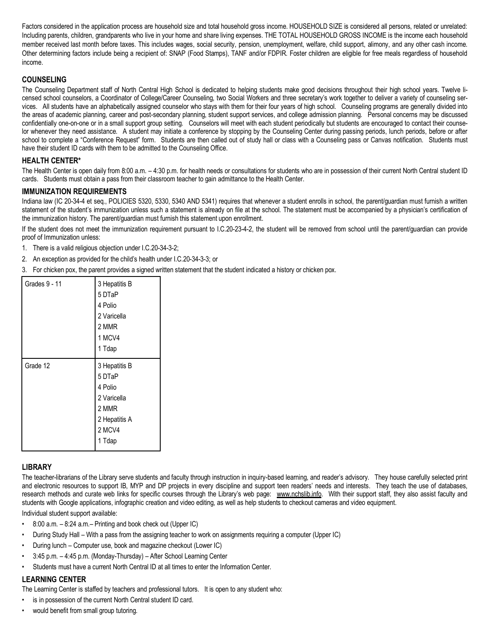Factors considered in the application process are household size and total household gross income. HOUSEHOLD SIZE is considered all persons, related or unrelated: Including parents, children, grandparents who live in your home and share living expenses. THE TOTAL HOUSEHOLD GROSS INCOME is the income each household member received last month before taxes. This includes wages, social security, pension, unemployment, welfare, child support, alimony, and any other cash income. Other determining factors include being a recipient of: SNAP (Food Stamps), TANF and/or FDPIR. Foster children are eligible for free meals regardless of household income.

## **COUNSELING**

The Counseling Department staff of North Central High School is dedicated to helping students make good decisions throughout their high school years. Twelve licensed school counselors, a Coordinator of College/Career Counseling, two Social Workers and three secretary's work together to deliver a variety of counseling services. All students have an alphabetically assigned counselor who stays with them for their four years of high school. Counseling programs are generally divided into the areas of academic planning, career and post-secondary planning, student support services, and college admission planning. Personal concerns may be discussed confidentially one-on-one or in a small support group setting. Counselors will meet with each student periodically but students are encouraged to contact their counselor whenever they need assistance. A student may initiate a conference by stopping by the Counseling Center during passing periods, lunch periods, before or after school to complete a "Conference Request" form. Students are then called out of study hall or class with a Counseling pass or Canvas notification. Students must have their student ID cards with them to be admitted to the Counseling Office.

## **HEALTH CENTER\***

The Health Center is open daily from 8:00 a.m. - 4:30 p.m. for health needs or consultations for students who are in possession of their current North Central student ID cards. Students must obtain a pass from their classroom teacher to gain admittance to the Health Center.

#### **IMMUNIZATION REQUIREMENTS**

Indiana law (IC 20-34-4 et seq., POLICIES 5320, 5330, 5340 AND 5341) requires that whenever a student enrolls in school, the parent/guardian must furnish a written statement of the student's immunization unless such a statement is already on file at the school. The statement must be accompanied by a physician's certification of the immunization history. The parent/guardian must furnish this statement upon enrollment.

If the student does not meet the immunization requirement pursuant to I.C.20-23-4-2, the student will be removed from school until the parent/guardian can provide proof of Immunization unless:

- 1. There is a valid religious objection under I.C.20-34-3-2;
- 2. An exception as provided for the child's health under I.C.20-34-3-3; or
- 3. For chicken pox, the parent provides a signed written statement that the student indicated a history or chicken pox.

| <b>Grades 9 - 11</b> | 3 Hepatitis B<br>5 DTaP<br>4 Polio<br>2 Varicella<br>2 MMR<br>1 MCV4<br>1 Tdap                  |
|----------------------|-------------------------------------------------------------------------------------------------|
| Grade 12             | 3 Hepatitis B<br>5 DTaP<br>4 Polio<br>2 Varicella<br>2 MMR<br>2 Hepatitis A<br>2 MCV4<br>1 Tdap |

#### **LIBRARY**

The teacher-librarians of the Library serve students and faculty through instruction in inquiry-based learning, and reader's advisory. They house carefully selected print and electronic resources to support IB, MYP and DP projects in every discipline and support teen readers' needs and interests. They teach the use of databases, research methods and curate web links for specific courses through the Library's web page: www.nchslib.info. With their support staff, they also assist faculty and students with Google applications, infographic creation and video editing, as well as help students to checkout cameras and video equipment.

Individual student support available:

- $\cdot$  8:00 a.m.  $-8:24$  a.m. Printing and book check out (Upper IC)
- During Study Hall With a pass from the assigning teacher to work on assignments requiring a computer (Upper IC)
- During lunch Computer use, book and magazine checkout (Lower IC)
- 3:45 p.m. 4:45 p.m. (Monday-Thursday) After School Learning Center
- Students must have a current North Central ID at all times to enter the Information Center.

#### **LEARNING CENTER**

The Learning Center is staffed by teachers and professional tutors. It is open to any student who:

- is in possession of the current North Central student ID card.
- would benefit from small group tutoring.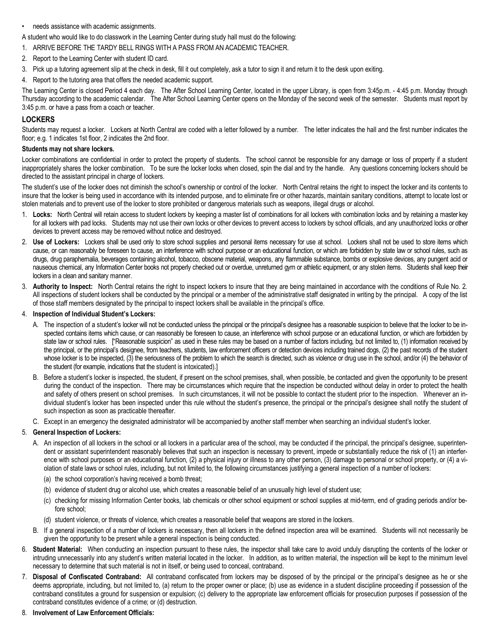#### • needs assistance with academic assignments.

A student who would like to do classwork in the Learning Center during study hall must do the following:

- 1. ARRIVE BEFORE THE TARDY BELL RINGS WITH A PASS FROM AN ACADEMIC TEACHER.
- 2. Report to the Learning Center with student ID card.
- 3. Pick up a tutoring agreement slip at the check in desk, fill it out completely, ask a tutor to sign it and return it to the desk upon exiting.
- 4. Report to the tutoring area that offers the needed academic support.

The Learning Center is closed Period 4 each day. The After School Learning Center, located in the upper Library, is open from 3:45p.m. - 4:45 p.m. Monday through Thursday according to the academic calendar. The After School Learning Center opens on the Monday of the second week of the semester. Students must report by 3:45 p.m. or have a pass from a coach or teacher.

#### **LOCKERS**

Students may request a locker. Lockers at North Central are coded with a letter followed by a number. The letter indicates the hall and the first number indicates the floor; e.g. 1 indicates 1st floor, 2 indicates the 2nd floor.

#### **Students may not share lockers.**

Locker combinations are confidential in order to protect the property of students. The school cannot be responsible for any damage or loss of property if a student inappropriately shares the locker combination. To be sure the locker locks when closed, spin the dial and try the handle. Any questions concerning lockers should be directed to the assistant principal in charge of lockers.

The student's use of the locker does not diminish the school's ownership or control of the locker. North Central retains the right to inspect the locker and its contents to insure that the locker is being used in accordance with its intended purpose, and to eliminate fire or other hazards, maintain sanitary conditions, attempt to locate lost or stolen materials and to prevent use of the locker to store prohibited or dangerous materials such as weapons, illegal drugs or alcohol.

- 1. **Locks:** North Central will retain access to student lockers by keeping a master list of combinations for all lockers with combination locks and by retaining a master key for all lockers with pad locks. Students may not use their own locks or other devices to prevent access to lockers by school officials, and any unauthorized locks or other devices to prevent access may be removed without notice and destroyed.
- 2. **Use of Lockers:** Lockers shall be used only to store school supplies and personal items necessary for use at school. Lockers shall not be used to store items which cause, or can reasonably be foreseen to cause, an interference with school purpose or an educational function, or which are forbidden by state law or school rules, such as drugs, drug paraphernalia, beverages containing alcohol, tobacco, obscene material, weapons, any flammable substance, bombs or explosive devices, any pungent acid or nauseous chemical, any Information Center books not properly checked out or overdue, unreturned gym or athletic equipment, or any stolen items. Students shall keep their lockers in a clean and sanitary manner.
- 3. **Authority to Inspect:** North Central retains the right to inspect lockers to insure that they are being maintained in accordance with the conditions of Rule No. 2. All inspections of student lockers shall be conducted by the principal or a member of the administrative staff designated in writing by the principal. A copy of the list of those staff members designated by the principal to inspect lockers shall be available in the principal's office.

#### 4. **Inspection of Individual Student's Lockers:**

- A. The inspection of a student's locker will not be conducted unless the principal or the principal's designee has a reasonable suspicion to believe that the locker to be inspected contains items which cause, or can reasonably be foreseen to cause, an interference with school purpose or an educational function, or which are forbidden by state law or school rules. ["Reasonable suspicion" as used in these rules may be based on a number of factors including, but not limited to, (1) information received by the principal, or the principal's designee, from teachers, students, law enforcement officers or detection devices including trained dogs, (2) the past records of the student whose locker is to be inspected, (3) the seriousness of the problem to which the search is directed, such as violence or drug use in the school, and/or (4) the behavior of the student (for example, indications that the student is intoxicated).]
- B. Before a student's locker is inspected, the student, if present on the school premises, shall, when possible, be contacted and given the opportunity to be present during the conduct of the inspection. There may be circumstances which require that the inspection be conducted without delay in order to protect the health and safety of others present on school premises. In such circumstances, it will not be possible to contact the student prior to the inspection. Whenever an individual student's locker has been inspected under this rule without the student's presence, the principal or the principal's designee shall notify the student of such inspection as soon as practicable thereafter.
- C. Except in an emergency the designated administrator will be accompanied by another staff member when searching an individual student's locker.

#### 5. **General Inspection of Lockers:**

- A. An inspection of all lockers in the school or all lockers in a particular area of the school, may be conducted if the principal, the principal's designee, superintendent or assistant superintendent reasonably believes that such an inspection is necessary to prevent, impede or substantially reduce the risk of (1) an interference with school purposes or an educational function, (2) a physical injury or illness to any other person, (3) damage to personal or school property, or (4) a violation of state laws or school rules, including, but not limited to, the following circumstances justifying a general inspection of a number of lockers:
	- (a) the school corporation's having received a bomb threat;
	- (b) evidence of student drug or alcohol use, which creates a reasonable belief of an unusually high level of student use;
	- (c) checking for missing Information Center books, lab chemicals or other school equipment or school supplies at mid-term, end of grading periods and/or before school;
	- (d) student violence, or threats of violence, which creates a reasonable belief that weapons are stored in the lockers.
- B. If a general inspection of a number of lockers is necessary, then all lockers in the defined inspection area will be examined. Students will not necessarily be given the opportunity to be present while a general inspection is being conducted.
- 6. **Student Material:** When conducting an inspection pursuant to these rules, the inspector shall take care to avoid unduly disrupting the contents of the locker or intruding unnecessarily into any student's written material located in the locker. In addition, as to written material, the inspection will be kept to the minimum level necessary to determine that such material is not in itself, or being used to conceal, contraband.
- 7. **Disposal of Confiscated Contraband:** All contraband confiscated from lockers may be disposed of by the principal or the principal's designee as he or she deems appropriate, including, but not limited to, (a) return to the proper owner or place; (b) use as evidence in a student discipline proceeding if possession of the contraband constitutes a ground for suspension or expulsion; (c) delivery to the appropriate law enforcement officials for prosecution purposes if possession of the contraband constitutes evidence of a crime; or (d) destruction.
- 8. **Involvement of Law Enforcement Officials:**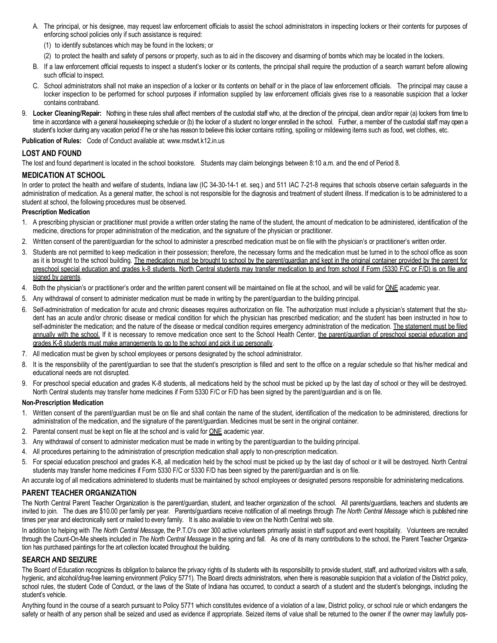- A. The principal, or his designee, may request law enforcement officials to assist the school administrators in inspecting lockers or their contents for purposes of enforcing school policies only if such assistance is required:
	- (1) to identify substances which may be found in the lockers; or
	- (2) to protect the health and safety of persons or property, such as to aid in the discovery and disarming of bombs which may be located in the lockers.
- B. If a law enforcement official requests to inspect a student's locker or its contents, the principal shall require the production of a search warrant before allowing such official to inspect.
- C. School administrators shall not make an inspection of a locker or its contents on behalf or in the place of law enforcement officials. The principal may cause a locker inspection to be performed for school purposes if information supplied by law enforcement officials gives rise to a reasonable suspicion that a locker contains contraband.
- 9. **Locker Cleaning/Repair:** Nothing in these rules shall affect members of the custodial staff who, at the direction of the principal, clean and/or repair (a) lockers from time to time in accordance with a general housekeeping schedule or (b) the locker of a student no longer enrolled in the school. Further, a member of the custodial staff may open a student's locker during any vacation period if he or she has reason to believe this locker contains rotting, spoiling or mildewing items such as food, wet clothes, etc.

**Publication of Rules:** Code of Conduct available at: www.msdwt.k12.in.us

## **LOST AND FOUND**

The lost and found department is located in the school bookstore. Students may claim belongings between 8:10 a.m. and the end of Period 8.

## **MEDICATION AT SCHOOL**

In order to protect the health and welfare of students, Indiana law (IC 34-30-14-1 et. seq.) and 511 IAC 7-21-8 requires that schools observe certain safeguards in the administration of medication. As a general matter, the school is not responsible for the diagnosis and treatment of student illness. If medication is to be administered to a student at school, the following procedures must be observed.

#### **Prescription Medication**

- 1. A prescribing physician or practitioner must provide a written order stating the name of the student, the amount of medication to be administered, identification of the medicine, directions for proper administration of the medication, and the signature of the physician or practitioner.
- 2. Written consent of the parent/guardian for the school to administer a prescribed medication must be on file with the physician's or practitioner's written order.
- 3. Students are not permitted to keep medication in their possession; therefore, the necessary forms and the medication must be turned in to the school office as soon as it is brought to the school building. The medication must be brought to school by the parent/guardian and kept in the original container provided by the parent for preschool special education and grades k-8 students. North Central students may transfer medication to and from school if Form (5330 F/C or F/D) is on file and signed by parents.
- 4. Both the physician's or practitioner's order and the written parent consent will be maintained on file at the school, and will be valid for ONE academic year.
- 5. Any withdrawal of consent to administer medication must be made in writing by the parent/guardian to the building principal.
- 6. Self-administration of medication for acute and chronic diseases requires authorization on file. The authorization must include a physician's statement that the student has an acute and/or chronic disease or medical condition for which the physician has prescribed medication; and the student has been instructed in how to self-administer the medication; and the nature of the disease or medical condition requires emergency administration of the medication. The statement must be filed annually with the school. If it is necessary to remove medication once sent to the School Health Center, the parent/guardian of preschool special education and grades K-8 students must make arrangements to go to the school and pick it up personally.
- 7. All medication must be given by school employees or persons designated by the school administrator.
- 8. It is the responsibility of the parent/guardian to see that the student's prescription is filled and sent to the office on a regular schedule so that his/her medical and educational needs are not disrupted.
- 9. For preschool special education and grades K-8 students, all medications held by the school must be picked up by the last day of school or they will be destroyed. North Central students may transfer home medicines if Form 5330 F/C or F/D has been signed by the parent/guardian and is on file.

#### **Non-Prescription Medication**

- 1. Written consent of the parent/guardian must be on file and shall contain the name of the student, identification of the medication to be administered, directions for administration of the medication, and the signature of the parent/guardian. Medicines must be sent in the original container.
- 2. Parental consent must be kept on file at the school and is valid for **ONE** academic year.
- 3. Any withdrawal of consent to administer medication must be made in writing by the parent/guardian to the building principal.
- 4. All procedures pertaining to the administration of prescription medication shall apply to non-prescription medication.
- 5. For special education preschool and grades K-8, all medication held by the school must be picked up by the last day of school or it will be destroyed. North Central students may transfer home medicines if Form 5330 F/C or 5330 F/D has been signed by the parent/guardian and is on file.
- An accurate log of all medications administered to students must be maintained by school employees or designated persons responsible for administering medications.

#### **PARENT TEACHER ORGANIZATION**

The North Central Parent Teacher Organization is the parent/guardian, student, and teacher organization of the school. All parents/guardians, teachers and students are invited to join. The dues are \$10.00 per family per year. Parents/guardians receive notification of all meetings through *The North Central Message* which is published nine times per year and electronically sent or mailed to every family. It is also available to view on the North Central web site.

In addition to helping with *The North Central Message*, the P.T.O's over 300 active volunteers primarily assist in staff support and event hospitality. Volunteers are recruited through the Count-On-Me sheets included in *The North Central Message* in the spring and fall. As one of its many contributions to the school, the Parent Teacher Organization has purchased paintings for the art collection located throughout the building.

#### **SEARCH AND SEIZURE**

The Board of Education recognizes its obligation to balance the privacy rights of its students with its responsibility to provide student, staff, and authorized visitors with a safe, hygienic, and alcohol/drug-free learning environment (Policy 5771). The Board directs administrators, when there is reasonable suspicion that a violation of the District policy, school rules, the student Code of Conduct, or the laws of the State of Indiana has occurred, to conduct a search of a student and the student's belongings, including the student's vehicle.

Anything found in the course of a search pursuant to Policy 5771 which constitutes evidence of a violation of a law, District policy, or school rule or which endangers the safety or health of any person shall be seized and used as evidence if appropriate. Seized items of value shall be returned to the owner if the owner may lawfully pos-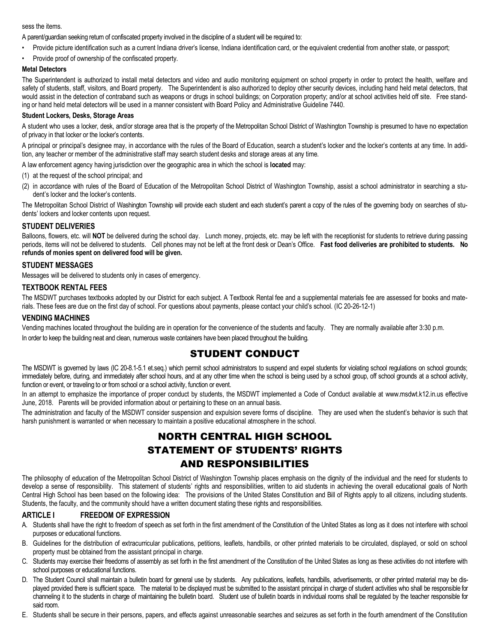#### sess the items.

A parent/guardian seeking return of confiscated property involved in the discipline of a student will be required to:

- Provide picture identification such as a current Indiana driver's license, Indiana identification card, or the equivalent credential from another state, or passport;
- Provide proof of ownership of the confiscated property.

#### **Metal Detectors**

The Superintendent is authorized to install metal detectors and video and audio monitoring equipment on school property in order to protect the health, welfare and safety of students, staff, visitors, and Board property. The Superintendent is also authorized to deploy other security devices, including hand held metal detectors, that would assist in the detection of contraband such as weapons or drugs in school buildings; on Corporation property; and/or at school activities held off site. Free standing or hand held metal detectors will be used in a manner consistent with Board Policy and Administrative Guideline 7440.

#### **Student Lockers, Desks, Storage Areas**

A student who uses a locker, desk, and/or storage area that is the property of the Metropolitan School District of Washington Township is presumed to have no expectation of privacy in that locker or the locker's contents.

A principal or principal's designee may, in accordance with the rules of the Board of Education, search a student's locker and the locker's contents at any time. In addition, any teacher or member of the administrative staff may search student desks and storage areas at any time.

A law enforcement agency having jurisdiction over the geographic area in which the school is **located** may:

- (1) at the request of the school principal; and
- (2) in accordance with rules of the Board of Education of the Metropolitan School District of Washington Township, assist a school administrator in searching a student's locker and the locker's contents.

The Metropolitan School District of Washington Township will provide each student and each student's parent a copy of the rules of the governing body on searches of students' lockers and locker contents upon request.

#### **STUDENT DELIVERIES**

Balloons, flowers, etc. will NOT be delivered during the school day. Lunch money, projects, etc. may be left with the receptionist for students to retrieve during passing periods, items will not be delivered to students. Cell phones may not be left at the front desk or Dean's Office. **Fast food deliveries are prohibited to students. No refunds of monies spent on delivered food will be given.**

#### **STUDENT MESSAGES**

Messages will be delivered to students only in cases of emergency.

#### **TEXTBOOK RENTAL FEES**

The MSDWT purchases textbooks adopted by our District for each subject. A Textbook Rental fee and a supplemental materials fee are assessed for books and materials. These fees are due on the first day of school. For questions about payments, please contact your child's school. (IC 20-26-12-1)

#### **VENDING MACHINES**

Vending machines located throughout the building are in operation for the convenience of the students and faculty. They are normally available after 3:30 p.m. In order to keep the building neat and clean, numerous waste containers have been placed throughout the building.

# STUDENT CONDUCT

The MSDWT is governed by laws (IC 20-8.1-5.1 et.seq.) which permit school administrators to suspend and expel students for violating school regulations on school grounds; immediately before, during, and immediately after school hours, and at any other time when the school is being used by a school group, off school grounds at a school activity, function or event, or traveling to or from school or a school activity, function or event.

In an attempt to emphasize the importance of proper conduct by students, the MSDWT implemented a Code of Conduct available at www.msdwt.k12.in.us effective June, 2018. Parents will be provided information about or pertaining to these on an annual basis.

The administration and faculty of the MSDWT consider suspension and expulsion severe forms of discipline. They are used when the student's behavior is such that harsh punishment is warranted or when necessary to maintain a positive educational atmosphere in the school.

# NORTH CENTRAL HIGH SCHOOL STATEMENT OF STUDENTS' RIGHTS AND RESPONSIBILITIES

The philosophy of education of the Metropolitan School District of Washington Township places emphasis on the dignity of the individual and the need for students to develop a sense of responsibility. This statement of students' rights and responsibilities, written to aid students in achieving the overall educational goals of North Central High School has been based on the following idea: The provisions of the United States Constitution and Bill of Rights apply to all citizens, including students. Students, the faculty, and the community should have a written document stating these rights and responsibilities.

#### **ARTICLE I FREEDOM OF EXPRESSION**

- A. Students shall have the right to freedom of speech as set forth in the first amendment of the Constitution of the United States as long as it does not interfere with school purposes or educational functions.
- B. Guidelines for the distribution of extracurricular publications, petitions, leaflets, handbills, or other printed materials to be circulated, displayed, or sold on school property must be obtained from the assistant principal in charge.
- C. Students may exercise their freedoms of assembly as set forth in the first amendment of the Constitution of the United States as long as these activities do not interfere with school purposes or educational functions.
- D. The Student Council shall maintain a bulletin board for general use by students. Any publications, leaflets, handbills, advertisements, or other printed material may be displayed provided there is sufficient space. The material to be displayed must be submitted to the assistant principal in charge of student activities who shall be responsible for channeling it to the students in charge of maintaining the bulletin board. Student use of bulletin boards in individual rooms shall be regulated by the teacher responsible for said room.
- E. Students shall be secure in their persons, papers, and effects against unreasonable searches and seizures as set forth in the fourth amendment of the Constitution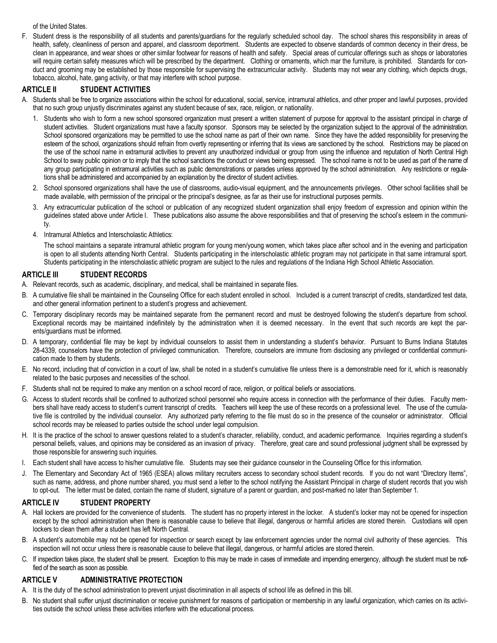of the United States.

F. Student dress is the responsibility of all students and parents/guardians for the regularly scheduled school day. The school shares this responsibility in areas of health, safety, cleanliness of person and apparel, and classroom deportment. Students are expected to observe standards of common decency in their dress, be clean in appearance, and wear shoes or other similar footwear for reasons of health and safety. Special areas of curricular offerings such as shops or laboratories will require certain safety measures which will be prescribed by the department. Clothing or ornaments, which mar the furniture, is prohibited. Standards for conduct and grooming may be established by those responsible for supervising the extracurricular activity. Students may not wear any clothing, which depicts drugs, tobacco, alcohol, hate, gang activity, or that may interfere with school purpose.

## **ARTICLE II STUDENT ACTIVITIES**

- A. Students shall be free to organize associations within the school for educational, social, service, intramural athletics, and other proper and lawful purposes, provided that no such group unjustly discriminates against any student because of sex, race, religion, or nationality.
	- 1. Students who wish to form a new school sponsored organization must present a written statement of purpose for approval to the assistant principal in charge of student activities. Student organizations must have a faculty sponsor. Sponsors may be selected by the organization subject to the approval of the administration. School sponsored organizations may be permitted to use the school name as part of their own name. Since they have the added responsibility for preserving the esteem of the school, organizations should refrain from overtly representing or inferring that its views are sanctioned by the school. Restrictions may be placed on the use of the school name in extramural activities to prevent any unauthorized individual or group from using the influence and reputation of North Central High School to sway public opinion or to imply that the school sanctions the conduct or views being expressed. The school name is not to be used as part of the name of any group participating in extramural activities such as public demonstrations or parades unless approved by the school administration. Any restrictions or regulations shall be administered and accompanied by an explanation by the director of student activities.
	- 2. School sponsored organizations shall have the use of classrooms, audio-visual equipment, and the announcements privileges. Other school facilities shall be made available, with permission of the principal or the principal's designee, as far as their use for instructional purposes permits.
	- 3. Any extracurricular publication of the school or publication of any recognized student organization shall enjoy freedom of expression and opinion within the guidelines stated above under Article I. These publications also assume the above responsibilities and that of preserving the school's esteem in the community.
	- 4. Intramural Athletics and Interscholastic Athletics:

The school maintains a separate intramural athletic program for young men/young women, which takes place after school and in the evening and participation is open to all students attending North Central. Students participating in the interscholastic athletic program may not participate in that same intramural sport. Students participating in the interscholastic athletic program are subject to the rules and regulations of the Indiana High School Athletic Association.

## **ARTICLE III STUDENT RECORDS**

- A. Relevant records, such as academic, disciplinary, and medical, shall be maintained in separate files.
- B. A cumulative file shall be maintained in the Counseling Office for each student enrolled in school. Included is a current transcript of credits, standardized test data, and other general information pertinent to a student's progress and achievement.
- C. Temporary disciplinary records may be maintained separate from the permanent record and must be destroyed following the student's departure from school. Exceptional records may be maintained indefinitely by the administration when it is deemed necessary. In the event that such records are kept the parents/guardians must be informed.
- D. A temporary, confidential file may be kept by individual counselors to assist them in understanding a student's behavior. Pursuant to Burns Indiana Statutes 28-4339, counselors have the protection of privileged communication. Therefore, counselors are immune from disclosing any privileged or confidential communication made to them by students.
- E. No record, including that of conviction in a court of law, shall be noted in a student's cumulative file unless there is a demonstrable need for it, which is reasonably related to the basic purposes and necessities of the school.
- F. Students shall not be required to make any mention on a school record of race, religion, or political beliefs or associations.
- G. Access to student records shall be confined to authorized school personnel who require access in connection with the performance of their duties. Faculty members shall have ready access to student's current transcript of credits. Teachers will keep the use of these records on a professional level. The use of the cumulative file is controlled by the individual counselor. Any authorized party referring to the file must do so in the presence of the counselor or administrator. Official school records may be released to parties outside the school under legal compulsion.
- H. It is the practice of the school to answer questions related to a student's character, reliability, conduct, and academic performance. Inquiries regarding a student's personal beliefs, values, and opinions may be considered as an invasion of privacy. Therefore, great care and sound professional judgment shall be expressed by those responsible for answering such inquiries.
- I. Each student shall have access to his/her cumulative file. Students may see their guidance counselor in the Counseling Office for this information.
- J. The Elementary and Secondary Act of 1965 (ESEA) allows military recruiters access to secondary school student records. If you do not want "Directory Items", such as name, address, and phone number shared, you must send a letter to the school notifying the Assistant Principal in charge of student records that you wish to opt-out. The letter must be dated, contain the name of student, signature of a parent or guardian, and post-marked no later than September 1.

#### **ARTICLE IV STUDENT PROPERTY**

- A. Hall lockers are provided for the convenience of students. The student has no property interest in the locker. A student's locker may not be opened for inspection except by the school administration when there is reasonable cause to believe that illegal, dangerous or harmful articles are stored therein. Custodians will open lockers to clean them after a student has left North Central.
- B. A student's automobile may not be opened for inspection or search except by law enforcement agencies under the normal civil authority of these agencies. This inspection will not occur unless there is reasonable cause to believe that illegal, dangerous, or harmful articles are stored therein.
- C. If inspection takes place, the student shall be present. Exception to this may be made in cases of immediate and impending emergency, although the student must be notified of the search as soon as possible.

#### **ARTICLE V ADMINISTRATIVE PROTECTION**

- A. It is the duty of the school administration to prevent unjust discrimination in all aspects of school life as defined in this bill.
- B. No student shall suffer unjust discrimination or receive punishment for reasons of participation or membership in any lawful organization, which carries on its activities outside the school unless these activities interfere with the educational process.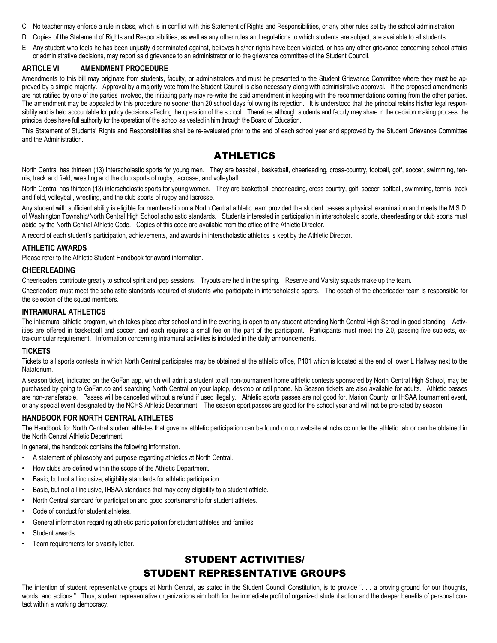- C. No teacher may enforce a rule in class, which is in conflict with this Statement of Rights and Responsibilities, or any other rules set by the school administration.
- D. Copies of the Statement of Rights and Responsibilities, as well as any other rules and regulations to which students are subject, are available to all students.
- E. Any student who feels he has been unjustly discriminated against, believes his/her rights have been violated, or has any other grievance concerning school affairs or administrative decisions, may report said grievance to an administrator or to the grievance committee of the Student Council.

#### **ARTICLE VI AMENDMENT PROCEDURE**

Amendments to this bill may originate from students, faculty, or administrators and must be presented to the Student Grievance Committee where they must be approved by a simple majority. Approval by a majority vote from the Student Council is also necessary along with administrative approval. If the proposed amendments are not ratified by one of the parties involved, the initiating party may re-write the said amendment in keeping with the recommendations coming from the other parties. The amendment may be appealed by this procedure no sooner than 20 school days following its rejection. It is understood that the principal retains his/her legal responsibility and is held accountable for policy decisions affecting the operation of the school. Therefore, although students and faculty may share in the decision making process, the principal does have full authority for the operation of the school as vested in him through the Board of Education.

This Statement of Students' Rights and Responsibilities shall be re-evaluated prior to the end of each school year and approved by the Student Grievance Committee and the Administration.

# ATHLETICS

North Central has thirteen (13) interscholastic sports for young men. They are baseball, basketball, cheerleading, cross-country, football, golf, soccer, swimming, tennis, track and field, wrestling and the club sports of rugby, lacrosse, and volleyball.

North Central has thirteen (13) interscholastic sports for young women. They are basketball, cheerleading, cross country, golf, soccer, softball, swimming, tennis, track and field, volleyball, wrestling, and the club sports of rugby and lacrosse.

Any student with sufficient ability is eligible for membership on a North Central athletic team provided the student passes a physical examination and meets the M.S.D. of Washington Township/North Central High School scholastic standards. Students interested in participation in interscholastic sports, cheerleading or club sports must abide by the North Central Athletic Code. Copies of this code are available from the office of the Athletic Director.

A record of each student's participation, achievements, and awards in interscholastic athletics is kept by the Athletic Director.

#### **ATHLETIC AWARDS**

Please refer to the Athletic Student Handbook for award information.

#### **CHEERLEADING**

Cheerleaders contribute greatly to school spirit and pep sessions. Tryouts are held in the spring. Reserve and Varsity squads make up the team.

Cheerleaders must meet the scholastic standards required of students who participate in interscholastic sports. The coach of the cheerleader team is responsible for the selection of the squad members.

#### **INTRAMURAL ATHLETICS**

The intramural athletic program, which takes place after school and in the evening, is open to any student attending North Central High School in good standing. Activities are offered in basketball and soccer, and each requires a small fee on the part of the participant. Participants must meet the 2.0, passing five subjects, extra-curricular requirement. Information concerning intramural activities is included in the daily announcements.

#### **TICKETS**

Tickets to all sports contests in which North Central participates may be obtained at the athletic office, P101 which is located at the end of lower L Hallway next to the Natatorium.

A season ticket, indicated on the GoFan app, which will admit a student to all non-tournament home athletic contests sponsored by North Central High School, may be purchased by going to GoFan.co and searching North Central on your laptop, desktop or cell phone. No Season tickets are also available for adults. Athletic passes are non-transferable. Passes will be cancelled without a refund if used illegally. Athletic sports passes are not good for, Marion County, or IHSAA tournament event, or any special event designated by the NCHS Athletic Department. The season sport passes are good for the school year and will not be pro-rated by season.

#### **HANDBOOK FOR NORTH CENTRAL ATHLETES**

The Handbook for North Central student athletes that governs athletic participation can be found on our website at nchs.cc under the athletic tab or can be obtained in the North Central Athletic Department.

In general, the handbook contains the following information.

- A statement of philosophy and purpose regarding athletics at North Central.
- How clubs are defined within the scope of the Athletic Department.
- Basic, but not all inclusive, eligibility standards for athletic participation.
- Basic, but not all inclusive, IHSAA standards that may deny eligibility to a student athlete.
- North Central standard for participation and good sportsmanship for student athletes.
- Code of conduct for student athletes.
- General information regarding athletic participation for student athletes and families.
- Student awards.
- Team requirements for a varsity letter.

# STUDENT ACTIVITIES/ STUDENT REPRESENTATIVE GROUPS

The intention of student representative groups at North Central, as stated in the Student Council Constitution, is to provide ". . . a proving ground for our thoughts, words, and actions." Thus, student representative organizations aim both for the immediate profit of organized student action and the deeper benefits of personal contact within a working democracy.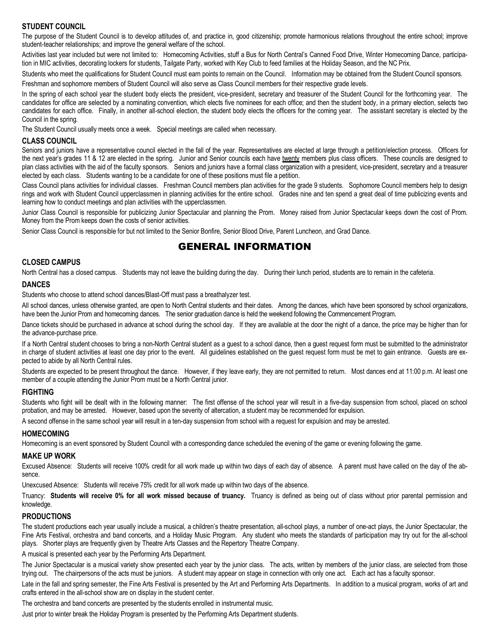## **STUDENT COUNCIL**

The purpose of the Student Council is to develop attitudes of, and practice in, good citizenship; promote harmonious relations throughout the entire school; improve student-teacher relationships; and improve the general welfare of the school.

Activities last year included but were not limited to: Homecoming Activities, stuff a Bus for North Central's Canned Food Drive, Winter Homecoming Dance, participation in MIC activities, decorating lockers for students, Tailgate Party, worked with Key Club to feed families at the Holiday Season, and the NC Prix.

Students who meet the qualifications for Student Council must earn points to remain on the Council. Information may be obtained from the Student Council sponsors.

Freshman and sophomore members of Student Council will also serve as Class Council members for their respective grade levels.

In the spring of each school year the student body elects the president, vice-president, secretary and treasurer of the Student Council for the forthcoming year. The candidates for office are selected by a nominating convention, which elects five nominees for each office; and then the student body, in a primary election, selects two candidates for each office. Finally, in another all-school election, the student body elects the officers for the coming year. The assistant secretary is elected by the Council in the spring.

The Student Council usually meets once a week. Special meetings are called when necessary.

#### **CLASS COUNCIL**

Seniors and juniors have a representative council elected in the fall of the year. Representatives are elected at large through a petition/election process. Officers for the next year's grades 11 & 12 are elected in the spring. Junior and Senior councils each have <u>twenty</u> members plus class officers. These councils are designed to plan class activities with the aid of the faculty sponsors. Seniors and juniors have a formal class organization with a president, vice-president, secretary and a treasurer elected by each class. Students wanting to be a candidate for one of these positions must file a petition.

Class Council plans activities for individual classes. Freshman Council members plan activities for the grade 9 students. Sophomore Council members help to design rings and work with Student Council upperclassmen in planning activities for the entire school. Grades nine and ten spend a great deal of time publicizing events and learning how to conduct meetings and plan activities with the upperclassmen.

Junior Class Council is responsible for publicizing Junior Spectacular and planning the Prom. Money raised from Junior Spectacular keeps down the cost of Prom. Money from the Prom keeps down the costs of senior activities.

Senior Class Council is responsible for but not limited to the Senior Bonfire, Senior Blood Drive, Parent Luncheon, and Grad Dance.

# GENERAL INFORMATION

#### **CLOSED CAMPUS**

North Central has a closed campus. Students may not leave the building during the day. During their lunch period, students are to remain in the cafeteria.

#### **DANCES**

Students who choose to attend school dances/Blast-Off must pass a breathalyzer test.

All school dances, unless otherwise granted, are open to North Central students and their dates. Among the dances, which have been sponsored by school organizations, have been the Junior Prom and homecoming dances. The senior graduation dance is held the weekend following the Commencement Program.

Dance tickets should be purchased in advance at school during the school day. If they are available at the door the night of a dance, the price may be higher than for the advance-purchase price.

If a North Central student chooses to bring a non-North Central student as a guest to a school dance, then a guest request form must be submitted to the administrator in charge of student activities at least one day prior to the event. All guidelines established on the guest request form must be met to gain entrance. Guests are expected to abide by all North Central rules.

Students are expected to be present throughout the dance. However, if they leave early, they are not permitted to return. Most dances end at 11:00 p.m. At least one member of a couple attending the Junior Prom must be a North Central junior.

#### **FIGHTING**

Students who fight will be dealt with in the following manner: The first offense of the school year will result in a five-day suspension from school, placed on school probation, and may be arrested. However, based upon the severity of altercation, a student may be recommended for expulsion.

A second offense in the same school year will result in a ten-day suspension from school with a request for expulsion and may be arrested.

#### **HOMECOMING**

Homecoming is an event sponsored by Student Council with a corresponding dance scheduled the evening of the game or evening following the game.

#### **MAKE UP WORK**

Excused Absence: Students will receive 100% credit for all work made up within two days of each day of absence. A parent must have called on the day of the absence.

Unexcused Absence: Students will receive 75% credit for all work made up within two days of the absence.

Truancy: **Students will receive 0% for all work missed because of truancy.** Truancy is defined as being out of class without prior parental permission and knowledge.

#### **PRODUCTIONS**

The student productions each year usually include a musical, a children's theatre presentation, all-school plays, a number of one-act plays, the Junior Spectacular, the Fine Arts Festival, orchestra and band concerts, and a Holiday Music Program. Any student who meets the standards of participation may try out for the all-school plays. Shorter plays are frequently given by Theatre Arts Classes and the Repertory Theatre Company.

A musical is presented each year by the Performing Arts Department.

The Junior Spectacular is a musical variety show presented each year by the junior class. The acts, written by members of the junior class, are selected from those trying out. The chairpersons of the acts must be juniors. A student may appear on stage in connection with only one act. Each act has a faculty sponsor.

Late in the fall and spring semester, the Fine Arts Festival is presented by the Art and Performing Arts Departments. In addition to a musical program, works of art and crafts entered in the all-school show are on display in the student center.

The orchestra and band concerts are presented by the students enrolled in instrumental music.

Just prior to winter break the Holiday Program is presented by the Performing Arts Department students.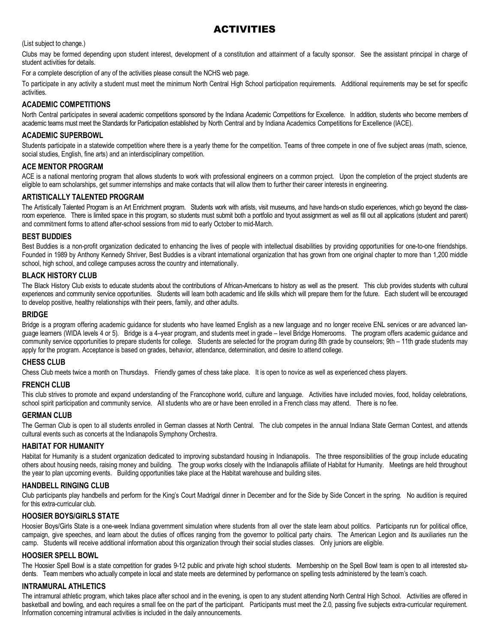# ACTIVITIES

(List subject to change.)

Clubs may be formed depending upon student interest, development of a constitution and attainment of a faculty sponsor. See the assistant principal in charge of student activities for details.

For a complete description of any of the activities please consult the NCHS web page.

To participate in any activity a student must meet the minimum North Central High School participation requirements. Additional requirements may be set for specific activities.

#### **ACADEMIC COMPETITIONS**

North Central participates in several academic competitions sponsored by the Indiana Academic Competitions for Excellence. In addition, students who become members of academic teams must meet the Standards for Participation established by North Central and by Indiana Academics Competitions for Excellence (IACE).

#### **ACADEMIC SUPERBOWL**

Students participate in a statewide competition where there is a yearly theme for the competition. Teams of three compete in one of five subject areas (math, science, social studies, English, fine arts) and an interdisciplinary competition.

#### **ACE MENTOR PROGRAM**

ACE is a national mentoring program that allows students to work with professional engineers on a common project. Upon the completion of the project students are eligible to earn scholarships, get summer internships and make contacts that will allow them to further their career interests in engineering.

#### **ARTISTICALLY TALENTED PROGRAM**

The Artistically Talented Program is an Art Enrichment program. Students work with artists, visit museums, and have hands-on studio experiences, which go beyond the classroom experience. There is limited space in this program, so students must submit both a portfolio and tryout assignment as well as fill out all applications (student and parent) and commitment forms to attend after-school sessions from mid to early October to mid-March.

#### **BEST BUDDIES**

Best Buddies is a non-profit organization dedicated to enhancing the lives of people with intellectual disabilities by providing opportunities for one-to-one friendships. Founded in 1989 by Anthony Kennedy Shriver, Best Buddies is a vibrant international organization that has grown from one original chapter to more than 1,200 middle school, high school, and college campuses across the country and internationally.

#### **BLACK HISTORY CLUB**

The Black History Club exists to educate students about the contributions of African-Americans to history as well as the present. This club provides students with cultural experiences and community service opportunities. Students will learn both academic and life skills which will prepare them for the future. Each student will be encouraged to develop positive, healthy relationships with their peers, family, and other adults.

#### **BRIDGE**

Bridge is a program offering academic guidance for students who have learned English as a new language and no longer receive ENL services or are advanced language learners (WIDA levels 4 or 5). Bridge is a 4–year program, and students meet in grade – level Bridge Homerooms. The program offers academic guidance and community service opportunities to prepare students for college. Students are selected for the program during 8th grade by counselors; 9th – 11th grade students may apply for the program. Acceptance is based on grades, behavior, attendance, determination, and desire to attend college.

#### **CHESS CLUB**

Chess Club meets twice a month on Thursdays. Friendly games of chess take place. It is open to novice as well as experienced chess players.

#### **FRENCH CLUB**

This club strives to promote and expand understanding of the Francophone world, culture and language. Activities have included movies, food, holiday celebrations, school spirit participation and community service. All students who are or have been enrolled in a French class may attend. There is no fee.

#### **GERMAN CLUB**

The German Club is open to all students enrolled in German classes at North Central. The club competes in the annual Indiana State German Contest, and attends cultural events such as concerts at the Indianapolis Symphony Orchestra.

#### **HABITAT FOR HUMANITY**

Habitat for Humanity is a student organization dedicated to improving substandard housing in Indianapolis. The three responsibilities of the group include educating others about housing needs, raising money and building. The group works closely with the Indianapolis affiliate of Habitat for Humanity. Meetings are held throughout the year to plan upcoming events. Building opportunities take place at the Habitat warehouse and building sites.

#### **HANDBELL RINGING CLUB**

Club participants play handbells and perform for the King's Court Madrigal dinner in December and for the Side by Side Concert in the spring. No audition is required for this extra-curricular club.

#### **HOOSIER BOYS/GIRLS STATE**

Hoosier Boys/Girls State is a one-week Indiana government simulation where students from all over the state learn about politics. Participants run for political office, campaign, give speeches, and learn about the duties of offices ranging from the governor to political party chairs. The American Legion and its auxiliaries run the camp. Students will receive additional information about this organization through their social studies classes. Only juniors are eligible.

#### **HOOSIER SPELL BOWL**

The Hoosier Spell Bowl is a state competition for grades 9-12 public and private high school students. Membership on the Spell Bowl team is open to all interested students. Team members who actually compete in local and state meets are determined by performance on spelling tests administered by the team's coach.

#### **INTRAMURAL ATHLETICS**

The intramural athletic program, which takes place after school and in the evening, is open to any student attending North Central High School. Activities are offered in basketball and bowling, and each requires a small fee on the part of the participant. Participants must meet the 2.0, passing five subjects extra-curricular requirement. Information concerning intramural activities is included in the daily announcements.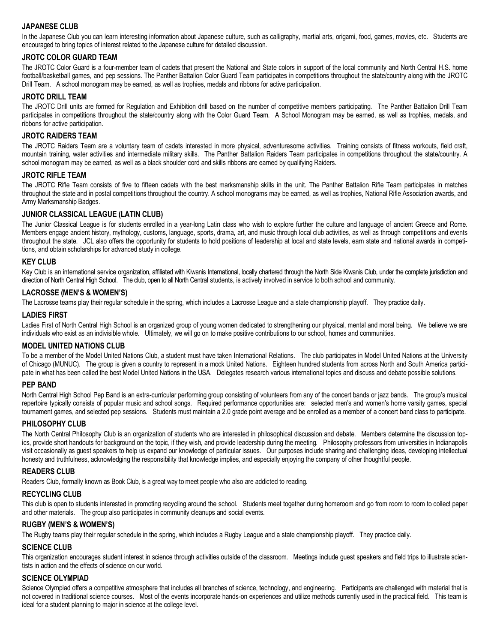## **JAPANESE CLUB**

In the Japanese Club you can learn interesting information about Japanese culture, such as calligraphy, martial arts, origami, food, games, movies, etc. Students are encouraged to bring topics of interest related to the Japanese culture for detailed discussion.

#### **JROTC COLOR GUARD TEAM**

The JROTC Color Guard is a four-member team of cadets that present the National and State colors in support of the local community and North Central H.S. home football/basketball games, and pep sessions. The Panther Battalion Color Guard Team participates in competitions throughout the state/country along with the JROTC Drill Team. A school monogram may be earned, as well as trophies, medals and ribbons for active participation.

#### **JROTC DRILL TEAM**

The JROTC Drill units are formed for Regulation and Exhibition drill based on the number of competitive members participating. The Panther Battalion Drill Team participates in competitions throughout the state/country along with the Color Guard Team. A School Monogram may be earned, as well as trophies, medals, and ribbons for active participation.

#### **JROTC RAIDERS TEAM**

The JROTC Raiders Team are a voluntary team of cadets interested in more physical, adventuresome activities. Training consists of fitness workouts, field craft, mountain training, water activities and intermediate military skills. The Panther Battalion Raiders Team participates in competitions throughout the state/country. A school monogram may be earned, as well as a black shoulder cord and skills ribbons are earned by qualifying Raiders.

#### **JROTC RIFLE TEAM**

The JROTC Rifle Team consists of five to fifteen cadets with the best marksmanship skills in the unit. The Panther Battalion Rifle Team participates in matches throughout the state and in postal competitions throughout the country. A school monograms may be earned, as well as trophies, National Rifle Association awards, and Army Marksmanship Badges.

#### **JUNIOR CLASSICAL LEAGUE (LATIN CLUB)**

The Junior Classical League is for students enrolled in a year-long Latin class who wish to explore further the culture and language of ancient Greece and Rome. Members engage ancient history, mythology, customs, language, sports, drama, art, and music through local club activities, as well as through competitions and events throughout the state. JCL also offers the opportunity for students to hold positions of leadership at local and state levels, earn state and national awards in competitions, and obtain scholarships for advanced study in college.

#### **KEY CLUB**

Key Club is an international service organization, affiliated with Kiwanis International, locally chartered through the North Side Kiwanis Club, under the complete jurisdiction and direction of North Central High School. The club, open to all North Central students, is actively involved in service to both school and community.

#### **LACROSSE (MEN'S & WOMEN'S)**

The Lacrosse teams play their regular schedule in the spring, which includes a Lacrosse League and a state championship playoff. They practice daily.

#### **LADIES FIRST**

Ladies First of North Central High School is an organized group of young women dedicated to strengthening our physical, mental and moral being. We believe we are individuals who exist as an indivisible whole. Ultimately, we will go on to make positive contributions to our school, homes and communities.

#### **MODEL UNITED NATIONS CLUB**

To be a member of the Model United Nations Club, a student must have taken International Relations. The club participates in Model United Nations at the University of Chicago (MUNUC). The group is given a country to represent in a mock United Nations. Eighteen hundred students from across North and South America participate in what has been called the best Model United Nations in the USA. Delegates research various international topics and discuss and debate possible solutions.

#### **PEP BAND**

North Central High School Pep Band is an extra-curricular performing group consisting of volunteers from any of the concert bands or jazz bands. The group's musical repertoire typically consists of popular music and school songs. Required performance opportunities are: selected men's and women's home varsity games, special tournament games, and selected pep sessions. Students must maintain a 2.0 grade point average and be enrolled as a member of a concert band class to participate.

#### **PHILOSOPHY CLUB**

The North Central Philosophy Club is an organization of students who are interested in philosophical discussion and debate. Members determine the discussion topics, provide short handouts for background on the topic, if they wish, and provide leadership during the meeting. Philosophy professors from universities in Indianapolis visit occasionally as guest speakers to help us expand our knowledge of particular issues. Our purposes include sharing and challenging ideas, developing intellectual honesty and truthfulness, acknowledging the responsibility that knowledge implies, and especially enjoying the company of other thoughtful people.

#### **READERS CLUB**

Readers Club, formally known as Book Club, is a great way to meet people who also are addicted to reading.

#### **RECYCLING CLUB**

This club is open to students interested in promoting recycling around the school. Students meet together during homeroom and go from room to room to collect paper and other materials. The group also participates in community cleanups and social events.

#### **RUGBY (MEN'S & WOMEN'S)**

The Rugby teams play their regular schedule in the spring, which includes a Rugby League and a state championship playoff. They practice daily.

#### **SCIENCE CLUB**

This organization encourages student interest in science through activities outside of the classroom. Meetings include guest speakers and field trips to illustrate scientists in action and the effects of science on our world.

#### **SCIENCE OLYMPIAD**

Science Olympiad offers a competitive atmosphere that includes all branches of science, technology, and engineering. Participants are challenged with material that is not covered in traditional science courses. Most of the events incorporate hands-on experiences and utilize methods currently used in the practical field. This team is ideal for a student planning to major in science at the college level.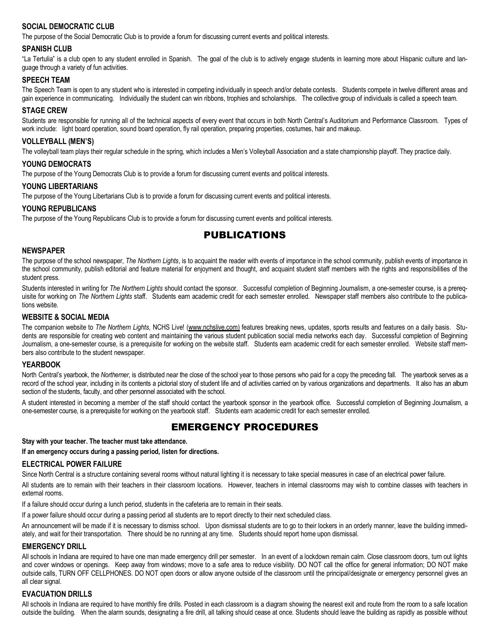## SOCIAL DEMOCRATIC CLUB

The purpose of the Social Democratic Club is to provide a forum for discussing current events and political interests.

#### **SPANISH CLUB**

"La Tertulia" is a club open to any student enrolled in Spanish. The goal of the club is to actively engage students in learning more about Hispanic culture and language through a variety of fun activities.

#### **SPEECH TEAM**

The Speech Team is open to any student who is interested in competing individually in speech and/or debate contests. Students compete in twelve different areas and gain experience in communicating. Individually the student can win ribbons, trophies and scholarships. The collective group of individuals is called a speech team.

#### **STAGE CREW**

Students are responsible for running all of the technical aspects of every event that occurs in both North Central's Auditorium and Performance Classroom. Types of work include: light board operation, sound board operation, fly rail operation, preparing properties, costumes, hair and makeup.

#### **VOLLEYBALL (MEN'S)**

The volleyball team plays their regular schedule in the spring, which includes a Men's Volleyball Association and a state championship playoff. They practice daily.

#### **YOUNG DEMOCRATS**

The purpose of the Young Democrats Club is to provide a forum for discussing current events and political interests.

#### **YOUNG LIBERTARIANS**

The purpose of the Young Libertarians Club is to provide a forum for discussing current events and political interests.

### **YOUNG REPUBLICANS**

The purpose of the Young Republicans Club is to provide a forum for discussing current events and political interests.

# PUBLICATIONS

#### **NEWSPAPER**

The purpose of the school newspaper, *The Northern Lights*, is to acquaint the reader with events of importance in the school community, publish events of importance in the school community, publish editorial and feature material for enjoyment and thought, and acquaint student staff members with the rights and responsibilities of the student press.

Students interested in writing for *The Northern Lights* should contact the sponsor. Successful completion of Beginning Journalism, a one-semester course, is a prerequisite for working on *The Northern Lights* staff. Students earn academic credit for each semester enrolled. Newspaper staff members also contribute to the publications website.

#### **WEBSITE & SOCIAL MEDIA**

The companion website to *The Northern Lights*, NCHS Live! (www.nchslive.com) features breaking news, updates, sports results and features on a daily basis. Students are responsible for creating web content and maintaining the various student publication social media networks each day. Successful completion of Beginning Journalism, a one-semester course, is a prerequisite for working on the website staff. Students earn academic credit for each semester enrolled. Website staff members also contribute to the student newspaper.

#### **YEARBOOK**

North Central's yearbook, the *Northerner*, is distributed near the close of the school year to those persons who paid for a copy the preceding fall. The yearbook serves as a record of the school year, including in its contents a pictorial story of student life and of activities carried on by various organizations and departments. It also has an album section of the students, faculty, and other personnel associated with the school.

A student interested in becoming a member of the staff should contact the yearbook sponsor in the yearbook office. Successful completion of Beginning Journalism, a one-semester course, is a prerequisite for working on the yearbook staff. Students earn academic credit for each semester enrolled.

# EMERGENCY PROCEDURES

**Stay with your teacher. The teacher must take attendance.**

#### **If an emergency occurs during a passing period, listen for directions.**

#### **ELECTRICAL POWER FAILURE**

Since North Central is a structure containing several rooms without natural lighting it is necessary to take special measures in case of an electrical power failure.

All students are to remain with their teachers in their classroom locations. However, teachers in internal classrooms may wish to combine classes with teachers in external rooms.

If a failure should occur during a lunch period, students in the cafeteria are to remain in their seats.

If a power failure should occur during a passing period all students are to report directly to their next scheduled class.

An announcement will be made if it is necessary to dismiss school. Upon dismissal students are to go to their lockers in an orderly manner, leave the building immediately, and wait for their transportation. There should be no running at any time. Students should report home upon dismissal.

#### **EMERGENCY DRILL**

All schools in Indiana are required to have one man made emergency drill per semester. In an event of a lockdown remain calm. Close classroom doors, turn out lights and cover windows or openings. Keep away from windows; move to a safe area to reduce visibility. DO NOT call the office for general information; DO NOT make outside calls, TURN OFF CELLPHONES. DO NOT open doors or allow anyone outside of the classroom until the principal/designate or emergency personnel gives an all clear signal.

#### **EVACUATION DRILLS**

All schools in Indiana are required to have monthly fire drills. Posted in each classroom is a diagram showing the nearest exit and route from the room to a safe location outside the building. When the alarm sounds, designating a fire drill, all talking should cease at once. Students should leave the building as rapidly as possible without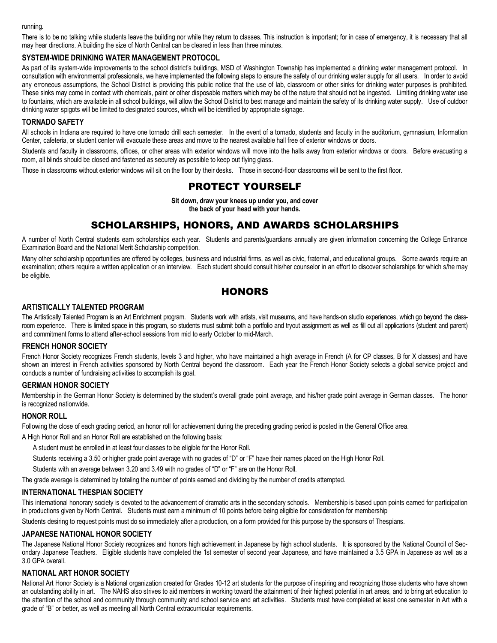#### running.

There is to be no talking while students leave the building nor while they return to classes. This instruction is important; for in case of emergency, it is necessary that all may hear directions. A building the size of North Central can be cleared in less than three minutes.

#### **SYSTEM-WIDE DRINKING WATER MANAGEMENT PROTOCOL**

As part of its system-wide improvements to the school district's buildings, MSD of Washington Township has implemented a drinking water management protocol. In consultation with environmental professionals, we have implemented the following steps to ensure the safety of our drinking water supply for all users. In order to avoid any erroneous assumptions, the School District is providing this public notice that the use of lab, classroom or other sinks for drinking water purposes is prohibited. These sinks may come in contact with chemicals, paint or other disposable matters which may be of the nature that should not be ingested. Limiting drinking water use to fountains, which are available in all school buildings, will allow the School District to best manage and maintain the safety of its drinking water supply. Use of outdoor drinking water spigots will be limited to designated sources, which will be identified by appropriate signage.

#### **TORNADO SAFETY**

All schools in Indiana are required to have one tornado drill each semester. In the event of a tornado, students and faculty in the auditorium, gymnasium, Information Center, cafeteria, or student center will evacuate these areas and move to the nearest available hall free of exterior windows or doors.

Students and faculty in classrooms, offices, or other areas with exterior windows will move into the halls away from exterior windows or doors. Before evacuating a room, all blinds should be closed and fastened as securely as possible to keep out flying glass.

Those in classrooms without exterior windows will sit on the floor by their desks. Those in second-floor classrooms will be sent to the first floor.

# PROTECT YOURSELF

**Sit down, draw your knees up under you, and cover the back of your head with your hands.**

# SCHOLARSHIPS, HONORS, AND AWARDS SCHOLARSHIPS

A number of North Central students earn scholarships each year. Students and parents/guardians annually are given information concerning the College Entrance Examination Board and the National Merit Scholarship competition.

Many other scholarship opportunities are offered by colleges, business and industrial firms, as well as civic, fraternal, and educational groups. Some awards require an examination; others require a written application or an interview. Each student should consult his/her counselor in an effort to discover scholarships for which s/he may be eligible.

# **HONORS**

#### **ARTISTICALLY TALENTED PROGRAM**

The Artistically Talented Program is an Art Enrichment program. Students work with artists, visit museums, and have hands-on studio experiences, which go beyond the classroom experience. There is limited space in this program, so students must submit both a portfolio and tryout assignment as well as fill out all applications (student and parent) and commitment forms to attend after-school sessions from mid to early October to mid-March.

#### **FRENCH HONOR SOCIETY**

French Honor Society recognizes French students, levels 3 and higher, who have maintained a high average in French (A for CP classes, B for X classes) and have shown an interest in French activities sponsored by North Central beyond the classroom. Each year the French Honor Society selects a global service project and conducts a number of fundraising activities to accomplish its goal.

#### **GERMAN HONOR SOCIETY**

Membership in the German Honor Society is determined by the student's overall grade point average, and his/her grade point average in German classes. The honor is recognized nationwide.

#### **HONOR ROLL**

Following the close of each grading period, an honor roll for achievement during the preceding grading period is posted in the General Office area.

A High Honor Roll and an Honor Roll are established on the following basis:

A student must be enrolled in at least four classes to be eligible for the Honor Roll.

Students receiving a 3.50 or higher grade point average with no grades of "D" or "F" have their names placed on the High Honor Roll.

Students with an average between 3.20 and 3.49 with no grades of "D" or "F" are on the Honor Roll.

The grade average is determined by totaling the number of points earned and dividing by the number of credits attempted.

#### **INTERNATIONAL THESPIAN SOCIETY**

This international honorary society is devoted to the advancement of dramatic arts in the secondary schools. Membership is based upon points earned for participation in productions given by North Central. Students must earn a minimum of 10 points before being eligible for consideration for membership

Students desiring to request points must do so immediately after a production, on a form provided for this purpose by the sponsors of Thespians.

#### **JAPANESE NATIONAL HONOR SOCIETY**

The Japanese National Honor Society recognizes and honors high achievement in Japanese by high school students. It is sponsored by the National Council of Secondary Japanese Teachers. Eligible students have completed the 1st semester of second year Japanese, and have maintained a 3.5 GPA in Japanese as well as a 3.0 GPA overall.

#### **NATIONAL ART HONOR SOCIETY**

National Art Honor Society is a National organization created for Grades 10-12 art students for the purpose of inspiring and recognizing those students who have shown an outstanding ability in art. The NAHS also strives to aid members in working toward the attainment of their highest potential in art areas, and to bring art education to the attention of the school and community through community and school service and art activities. Students must have completed at least one semester in Art with a grade of "B" or better, as well as meeting all North Central extracurricular requirements.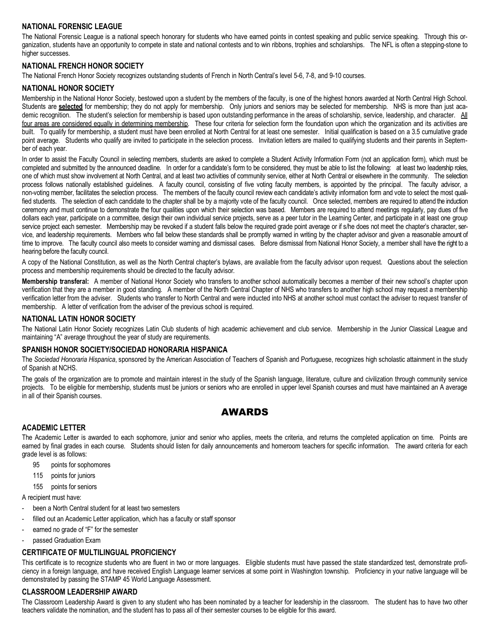## **NATIONAL FORENSIC LEAGUE**

The National Forensic League is a national speech honorary for students who have earned points in contest speaking and public service speaking. Through this organization, students have an opportunity to compete in state and national contests and to win ribbons, trophies and scholarships. The NFL is often a stepping-stone to higher successes.

#### **NATIONAL FRENCH HONOR SOCIETY**

The National French Honor Society recognizes outstanding students of French in North Central's level 5-6, 7-8, and 9-10 courses.

#### **NATIONAL HONOR SOCIETY**

Membership in the National Honor Society, bestowed upon a student by the members of the faculty, is one of the highest honors awarded at North Central High School. Students are **selected** for membership; they do not apply for membership. Only juniors and seniors may be selected for membership. NHS is more than just academic recognition. The student's selection for membership is based upon outstanding performance in the areas of scholarship, service, leadership, and character. All four areas are considered equally in determining membership. These four criteria for selection form the foundation upon which the organization and its activities are built. To qualify for membership, a student must have been enrolled at North Central for at least one semester. Initial qualification is based on a 3.5 cumulative grade point average. Students who qualify are invited to participate in the selection process. Invitation letters are mailed to qualifying students and their parents in September of each year.

In order to assist the Faculty Council in selecting members, students are asked to complete a Student Activity Information Form (not an application form), which must be completed and submitted by the announced deadline. In order for a candidate's form to be considered, they must be able to list the following: at least two leadership roles, one of which must show involvement at North Central, and at least two activities of community service, either at North Central or elsewhere in the community. The selection process follows nationally established guidelines. A faculty council, consisting of five voting faculty members, is appointed by the principal. The faculty advisor, a non-voting member, facilitates the selection process. The members of the faculty council review each candidate's activity information form and vote to select the most qualified students. The selection of each candidate to the chapter shall be by a majority vote of the faculty council. Once selected, members are required to attend the induction ceremony and must continue to demonstrate the four qualities upon which their selection was based. Members are required to attend meetings regularly, pay dues of five dollars each year, participate on a committee, design their own individual service projects, serve as a peer tutor in the Learning Center, and participate in at least one group service project each semester. Membership may be revoked if a student falls below the required grade point average or if s/he does not meet the chapter's character, service, and leadership requirements. Members who fall below these standards shall be promptly warned in writing by the chapter advisor and given a reasonable amount of time to improve. The faculty council also meets to consider warning and dismissal cases. Before dismissal from National Honor Society, a member shall have the right to a hearing before the faculty council.

A copy of the National Constitution, as well as the North Central chapter's bylaws, are available from the faculty advisor upon request. Questions about the selection process and membership requirements should be directed to the faculty advisor.

**Membership transferal:** A member of National Honor Society who transfers to another school automatically becomes a member of their new school's chapter upon verification that they are a member in good standing. A member of the North Central Chapter of NHS who transfers to another high school may request a membership verification letter from the adviser. Students who transfer to North Central and were inducted into NHS at another school must contact the adviser to request transfer of membership. A letter of verification from the adviser of the previous school is required.

#### **NATIONAL LATIN HONOR SOCIETY**

The National Latin Honor Society recognizes Latin Club students of high academic achievement and club service. Membership in the Junior Classical League and maintaining "A" average throughout the year of study are requirements.

#### **SPANISH HONOR SOCIETY/SOCIEDAD HONORARIA HISPANICA**

The *Sociedad Honoraria Hispanica*, sponsored by the American Association of Teachers of Spanish and Portuguese, recognizes high scholastic attainment in the study of Spanish at NCHS.

The goals of the organization are to promote and maintain interest in the study of the Spanish language, literature, culture and civilization through community service projects. To be eligible for membership, students must be juniors or seniors who are enrolled in upper level Spanish courses and must have maintained an A average in all of their Spanish courses.

## AWARDS

#### **ACADEMIC LETTER**

The Academic Letter is awarded to each sophomore, junior and senior who applies, meets the criteria, and returns the completed application on time. Points are earned by final grades in each course. Students should listen for daily announcements and homeroom teachers for specific information. The award criteria for each grade level is as follows:

- 95 points for sophomores
- 115 points for juniors
- 155 points for seniors

A recipient must have:

- been a North Central student for at least two semesters
- filled out an Academic Letter application, which has a faculty or staff sponsor
- earned no grade of "F" for the semester
- passed Graduation Exam

#### **CERTIFICATE OF MULTILINGUAL PROFICIENCY**

This certificate is to recognize students who are fluent in two or more languages. Eligible students must have passed the state standardized test, demonstrate proficiency in a foreign language, and have received English Language learner services at some point in Washington township. Proficiency in your native language will be demonstrated by passing the STAMP 45 World Language Assessment.

#### **CLASSROOM LEADERSHIP AWARD**

The Classroom Leadership Award is given to any student who has been nominated by a teacher for leadership in the classroom. The student has to have two other teachers validate the nomination, and the student has to pass all of their semester courses to be eligible for this award.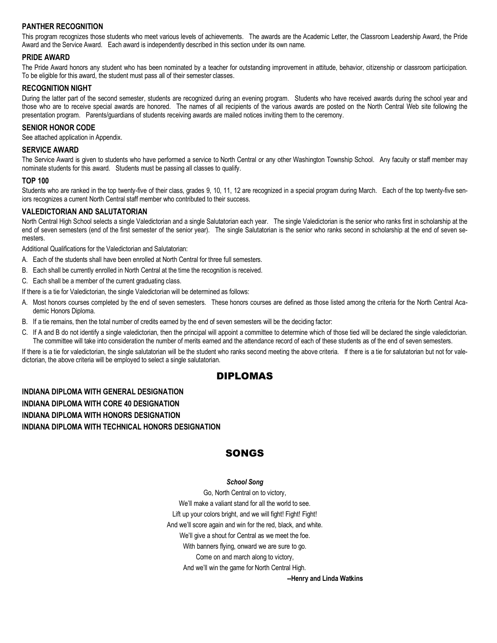## **PANTHER RECOGNITION**

This program recognizes those students who meet various levels of achievements. The awards are the Academic Letter, the Classroom Leadership Award, the Pride Award and the Service Award. Each award is independently described in this section under its own name.

#### **PRIDE AWARD**

The Pride Award honors any student who has been nominated by a teacher for outstanding improvement in attitude, behavior, citizenship or classroom participation. To be eligible for this award, the student must pass all of their semester classes.

#### **RECOGNITION NIGHT**

During the latter part of the second semester, students are recognized during an evening program. Students who have received awards during the school year and those who are to receive special awards are honored. The names of all recipients of the various awards are posted on the North Central Web site following the presentation program. Parents/guardians of students receiving awards are mailed notices inviting them to the ceremony.

#### **SENIOR HONOR CODE**

See attached application in Appendix.

#### **SERVICE AWARD**

The Service Award is given to students who have performed a service to North Central or any other Washington Township School. Any faculty or staff member may nominate students for this award. Students must be passing all classes to qualify.

#### **TOP 100**

Students who are ranked in the top twenty-five of their class, grades 9, 10, 11, 12 are recognized in a special program during March. Each of the top twenty-five seniors recognizes a current North Central staff member who contributed to their success.

#### **VALEDICTORIAN AND SALUTATORIAN**

North Central High School selects a single Valedictorian and a single Salutatorian each year. The single Valedictorian is the senior who ranks first in scholarship at the end of seven semesters (end of the first semester of the senior year). The single Salutatorian is the senior who ranks second in scholarship at the end of seven semesters.

Additional Qualifications for the Valedictorian and Salutatorian:

- A. Each of the students shall have been enrolled at North Central for three full semesters.
- B. Each shall be currently enrolled in North Central at the time the recognition is received.
- C. Each shall be a member of the current graduating class.
- If there is a tie for Valedictorian, the single Valedictorian will be determined as follows:
- A. Most honors courses completed by the end of seven semesters. These honors courses are defined as those listed among the criteria for the North Central Academic Honors Diploma.
- B. If a tie remains, then the total number of credits earned by the end of seven semesters will be the deciding factor:
- C. If A and B do not identify a single valedictorian, then the principal will appoint a committee to determine which of those tied will be declared the single valedictorian. The committee will take into consideration the number of merits earned and the attendance record of each of these students as of the end of seven semesters.

If there is a tie for valedictorian, the single salutatorian will be the student who ranks second meeting the above criteria. If there is a tie for salutatorian but not for valedictorian, the above criteria will be employed to select a single salutatorian.

## DIPLOMAS

# **INDIANA DIPLOMA WITH GENERAL DESIGNATION INDIANA DIPLOMA WITH CORE 40 DESIGNATION INDIANA DIPLOMA WITH HONORS DESIGNATION INDIANA DIPLOMA WITH TECHNICAL HONORS DESIGNATION**

# SONGS

#### *School Song*

Go, North Central on to victory, We'll make a valiant stand for all the world to see. Lift up your colors bright, and we will fight! Fight! Fight! And we'll score again and win for the red, black, and white. We'll give a shout for Central as we meet the foe. With banners flying, onward we are sure to go. Come on and march along to victory, And we'll win the game for North Central High.

**--Henry and Linda Watkins**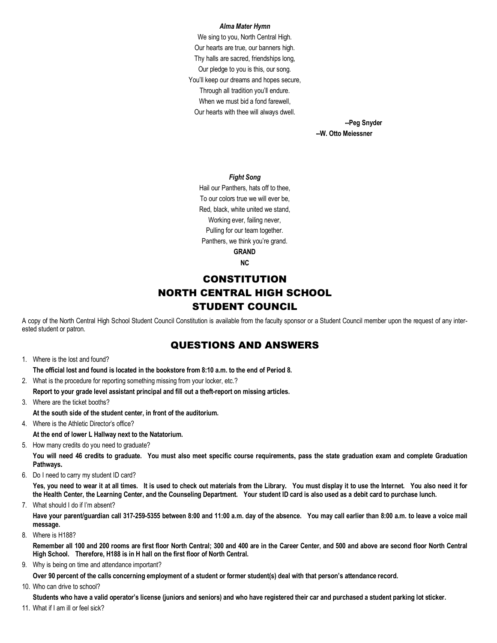#### *Alma Mater Hymn*

We sing to you, North Central High. Our hearts are true, our banners high. Thy halls are sacred, friendships long, Our pledge to you is this, our song. You'll keep our dreams and hopes secure, Through all tradition you'll endure. When we must bid a fond farewell, Our hearts with thee will always dwell.

> **--Peg Snyder --W. Otto Meiessner**

#### *Fight Song*

Hail our Panthers, hats off to thee, To our colors true we will ever be, Red, black, white united we stand, Working ever, failing never, Pulling for our team together. Panthers, we think you're grand. **GRAND NC**

# **CONSTITUTION** NORTH CENTRAL HIGH SCHOOL STUDENT COUNCIL

A copy of the North Central High School Student Council Constitution is available from the faculty sponsor or a Student Council member upon the request of any interested student or patron.

# QUESTIONS AND ANSWERS

1. Where is the lost and found?

**The official lost and found is located in the bookstore from 8:10 a.m. to the end of Period 8.** 

- 2. What is the procedure for reporting something missing from your locker, etc.? **Report to your grade level assistant principal and fill out a theft-report on missing articles.**
- 3. Where are the ticket booths?
- **At the south side of the student center, in front of the auditorium.**
- 4. Where is the Athletic Director's office?

**At the end of lower L Hallway next to the Natatorium.**

5. How many credits do you need to graduate?

**You will need 46 credits to graduate. You must also meet specific course requirements, pass the state graduation exam and complete Graduation Pathways.** 

6. Do I need to carry my student ID card?

**Yes, you need to wear it at all times. It is used to check out materials from the Library. You must display it to use the Internet. You also need it for the Health Center, the Learning Center, and the Counseling Department. Your student ID card is also used as a debit card to purchase lunch.**

7. What should I do if I'm absent?

**Have your parent/guardian call 317-259-5355 between 8:00 and 11:00 a.m. day of the absence. You may call earlier than 8:00 a.m. to leave a voice mail message.**

8. Where is H188?

**Remember all 100 and 200 rooms are first floor North Central; 300 and 400 are in the Career Center, and 500 and above are second floor North Central High School. Therefore, H188 is in H hall on the first floor of North Central.**

9. Why is being on time and attendance important?

**Over 90 percent of the calls concerning employment of a student or former student(s) deal with that person's attendance record.**

10. Who can drive to school?

**Students who have a valid operator's license (juniors and seniors) and who have registered their car and purchased a student parking lot sticker.**

11. What if I am ill or feel sick?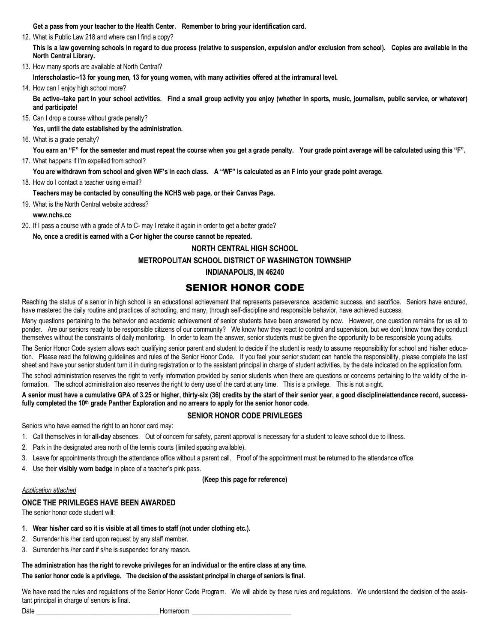**Get a pass from your teacher to the Health Center. Remember to bring your identification card.**

12. What is Public Law 218 and where can I find a copy?

**This is a law governing schools in regard to due process (relative to suspension, expulsion and/or exclusion from school). Copies are available in the North Central Library.** 

13. How many sports are available at North Central?

**Interscholastic--13 for young men, 13 for young women, with many activities offered at the intramural level.**

14. How can I enjoy high school more?

**Be active--take part in your school activities. Find a small group activity you enjoy (whether in sports, music, journalism, public service, or whatever) and participate!**

15. Can I drop a course without grade penalty?

**Yes, until the date established by the administration.**

16. What is a grade penalty?

**You earn an "F" for the semester and must repeat the course when you get a grade penalty. Your grade point average will be calculated using this "F".** 17. What happens if I'm expelled from school?

- **You are withdrawn from school and given WF's in each class. A "WF" is calculated as an F into your grade point average.**
- 18. How do I contact a teacher using e-mail?

**Teachers may be contacted by consulting the NCHS web page, or their Canvas Page.** 

19. What is the North Central website address?

**www.nchs.cc**

- 20. If I pass a course with a grade of A to C- may I retake it again in order to get a better grade?
- **No, once a credit is earned with a C-or higher the course cannot be repeated.**

#### **NORTH CENTRAL HIGH SCHOOL**

#### **METROPOLITAN SCHOOL DISTRICT OF WASHINGTON TOWNSHIP**

#### **INDIANAPOLIS, IN 46240**

# SENIOR HONOR CODE

Reaching the status of a senior in high school is an educational achievement that represents perseverance, academic success, and sacrifice. Seniors have endured, have mastered the daily routine and practices of schooling, and many, through self-discipline and responsible behavior, have achieved success.

Many questions pertaining to the behavior and academic achievement of senior students have been answered by now. However, one question remains for us all to ponder. Are our seniors ready to be responsible citizens of our community? We know how they react to control and supervision, but we don't know how they conduct themselves without the constraints of daily monitoring. In order to learn the answer, senior students must be given the opportunity to be responsible young adults.

The Senior Honor Code system allows each qualifying senior parent and student to decide if the student is ready to assume responsibility for school and his/her education. Please read the following guidelines and rules of the Senior Honor Code. If you feel your senior student can handle the responsibility, please complete the last sheet and have your senior student turn it in during registration or to the assistant principal in charge of student activities, by the date indicated on the application form.

The school administration reserves the right to verify information provided by senior students when there are questions or concerns pertaining to the validity of the information. The school administration also reserves the right to deny use of the card at any time. This is a privilege. This is not a right.

#### **A senior must have a cumulative GPA of 3.25 or higher, thirty-six (36) credits by the start of their senior year, a good discipline/attendance record, success**fully completed the 10<sup>th</sup> grade Panther Exploration and no arrears to apply for the senior honor code.

#### **SENIOR HONOR CODE PRIVILEGES**

Seniors who have earned the right to an honor card may:

- 1. Call themselves in for **all-day** absences. Out of concern for safety, parent approval is necessary for a student to leave school due to illness.
- 2. Park in the designated area north of the tennis courts (limited spacing available).
- 3. Leave for appointments through the attendance office without a parent call. Proof of the appointment must be returned to the attendance office.
- 4. Use their **visibly worn badge** in place of a teacher's pink pass.

#### **(Keep this page for reference)**

#### *Application attached*

# **ONCE THE PRIVILEGES HAVE BEEN AWARDED**

The senior honor code student will:

- **1. Wear his/her card so it is visible at all times to staff (not under clothing etc.).**
- 2. Surrender his /her card upon request by any staff member.
- 3. Surrender his /her card if s/he is suspended for any reason.

### **The administration has the right to revoke privileges for an individual or the entire class at any time. The senior honor code is a privilege. The decision of the assistant principal in charge of seniors is final.**

We have read the rules and regulations of the Senior Honor Code Program. We will abide by these rules and regulations. We understand the decision of the assistant principal in charge of seniors is final.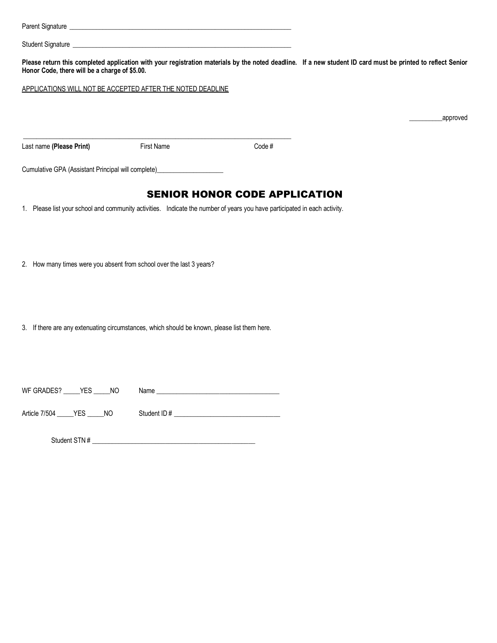| Honor Code, there will be a charge of \$5.00. | Please return this completed application with your registration materials by the noted deadline. If a new student ID card must be printed to reflect Senior |                                      |           |
|-----------------------------------------------|-------------------------------------------------------------------------------------------------------------------------------------------------------------|--------------------------------------|-----------|
|                                               | APPLICATIONS WILL NOT BE ACCEPTED AFTER THE NOTED DEADLINE                                                                                                  |                                      |           |
|                                               |                                                                                                                                                             |                                      | _approved |
|                                               |                                                                                                                                                             |                                      |           |
| Last name (Please Print)                      | First Name                                                                                                                                                  | Code#                                |           |
|                                               | Cumulative GPA (Assistant Principal will complete)______________________________                                                                            |                                      |           |
|                                               |                                                                                                                                                             | <b>SENIOR HONOR CODE APPLICATION</b> |           |
|                                               | 1. Please list your school and community activities. Indicate the number of years you have participated in each activity.                                   |                                      |           |
|                                               |                                                                                                                                                             |                                      |           |
|                                               |                                                                                                                                                             |                                      |           |
|                                               | 2. How many times were you absent from school over the last 3 years?                                                                                        |                                      |           |
|                                               |                                                                                                                                                             |                                      |           |
|                                               |                                                                                                                                                             |                                      |           |
|                                               | 3. If there are any extenuating circumstances, which should be known, please list them here.                                                                |                                      |           |
|                                               |                                                                                                                                                             |                                      |           |
|                                               |                                                                                                                                                             |                                      |           |
| WF GRADES? _____ YES _____ NO                 |                                                                                                                                                             |                                      |           |
| Article 7/504 _____ YES _____ NO              |                                                                                                                                                             |                                      |           |
|                                               |                                                                                                                                                             |                                      |           |
|                                               |                                                                                                                                                             |                                      |           |